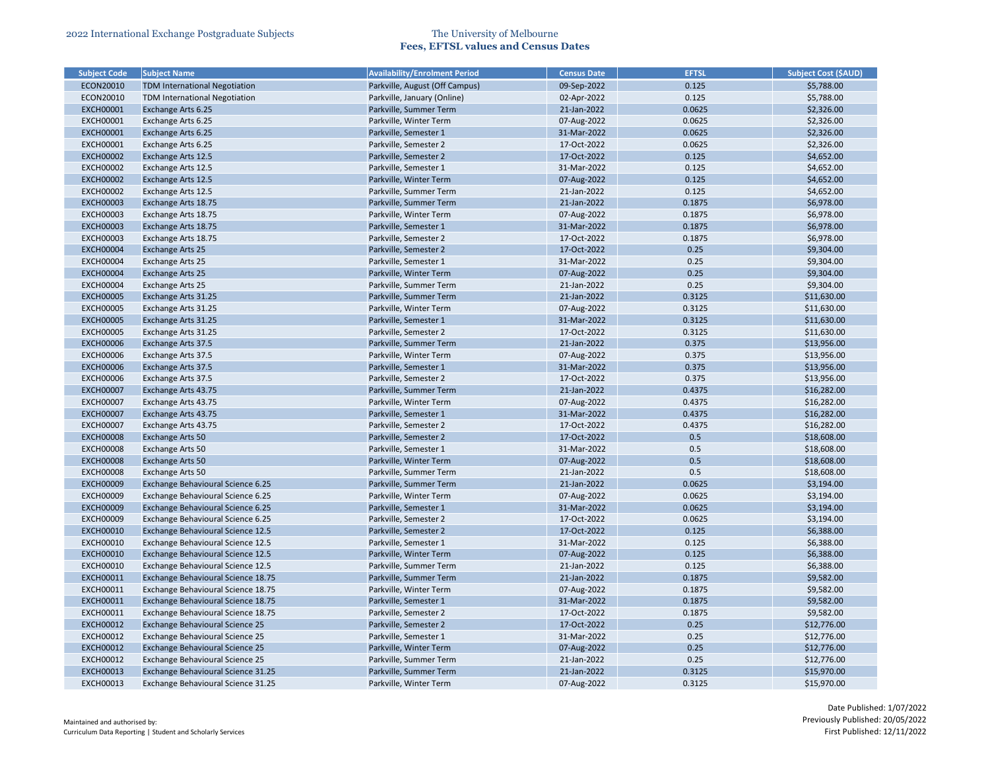| <b>Subject Code</b> | <b>Subject Name</b>                  | <b>Availability/Enrolment Period</b> | <b>Census Date</b> | <b>EFTSL</b> | <b>Subject Cost (\$AUD)</b> |
|---------------------|--------------------------------------|--------------------------------------|--------------------|--------------|-----------------------------|
| ECON20010           | <b>TDM International Negotiation</b> | Parkville, August (Off Campus)       | 09-Sep-2022        | 0.125        | \$5,788.00                  |
| ECON20010           | <b>TDM International Negotiation</b> | Parkville, January (Online)          | 02-Apr-2022        | 0.125        | \$5,788.00                  |
| <b>EXCH00001</b>    | Exchange Arts 6.25                   | Parkville, Summer Term               | 21-Jan-2022        | 0.0625       | \$2,326.00                  |
| <b>EXCH00001</b>    | Exchange Arts 6.25                   | Parkville, Winter Term               | 07-Aug-2022        | 0.0625       | \$2,326.00                  |
| <b>EXCH00001</b>    | Exchange Arts 6.25                   | Parkville, Semester 1                | 31-Mar-2022        | 0.0625       | \$2,326.00                  |
| <b>EXCH00001</b>    | Exchange Arts 6.25                   | Parkville, Semester 2                | 17-Oct-2022        | 0.0625       | \$2,326.00                  |
| <b>EXCH00002</b>    | Exchange Arts 12.5                   | Parkville, Semester 2                | 17-Oct-2022        | 0.125        | \$4,652.00                  |
| <b>EXCH00002</b>    | Exchange Arts 12.5                   | Parkville, Semester 1                | 31-Mar-2022        | 0.125        | \$4,652.00                  |
| <b>EXCH00002</b>    | Exchange Arts 12.5                   | Parkville, Winter Term               | 07-Aug-2022        | 0.125        | \$4,652.00                  |
| <b>EXCH00002</b>    | Exchange Arts 12.5                   | Parkville, Summer Term               | 21-Jan-2022        | 0.125        | \$4,652.00                  |
| <b>EXCH00003</b>    | Exchange Arts 18.75                  | Parkville, Summer Term               | 21-Jan-2022        | 0.1875       | \$6,978.00                  |
| <b>EXCH00003</b>    | Exchange Arts 18.75                  | Parkville, Winter Term               | 07-Aug-2022        | 0.1875       | \$6,978.00                  |
| <b>EXCH00003</b>    | Exchange Arts 18.75                  | Parkville, Semester 1                | 31-Mar-2022        | 0.1875       | \$6,978.00                  |
| <b>EXCH00003</b>    | Exchange Arts 18.75                  | Parkville, Semester 2                | 17-Oct-2022        | 0.1875       | \$6,978.00                  |
| <b>EXCH00004</b>    | <b>Exchange Arts 25</b>              | Parkville, Semester 2                | 17-Oct-2022        | 0.25         | \$9,304.00                  |
| <b>EXCH00004</b>    | Exchange Arts 25                     | Parkville, Semester 1                | 31-Mar-2022        | 0.25         | \$9,304.00                  |
| <b>EXCH00004</b>    | <b>Exchange Arts 25</b>              | Parkville, Winter Term               | 07-Aug-2022        | 0.25         | \$9,304.00                  |
| <b>EXCH00004</b>    | <b>Exchange Arts 25</b>              | Parkville, Summer Term               | 21-Jan-2022        | 0.25         | \$9,304.00                  |
| <b>EXCH00005</b>    | Exchange Arts 31.25                  | Parkville, Summer Term               | 21-Jan-2022        | 0.3125       | \$11,630.00                 |
| <b>EXCH00005</b>    | Exchange Arts 31.25                  | Parkville, Winter Term               | 07-Aug-2022        | 0.3125       | \$11,630.00                 |
| <b>EXCH00005</b>    | Exchange Arts 31.25                  | Parkville, Semester 1                | 31-Mar-2022        | 0.3125       | \$11,630.00                 |
| <b>EXCH00005</b>    | Exchange Arts 31.25                  | Parkville, Semester 2                | 17-Oct-2022        | 0.3125       | \$11,630.00                 |
| <b>EXCH00006</b>    | <b>Exchange Arts 37.5</b>            | Parkville, Summer Term               | 21-Jan-2022        | 0.375        | \$13,956.00                 |
| <b>EXCH00006</b>    | Exchange Arts 37.5                   | Parkville, Winter Term               | 07-Aug-2022        | 0.375        | \$13,956.00                 |
| <b>EXCH00006</b>    | <b>Exchange Arts 37.5</b>            | Parkville, Semester 1                | 31-Mar-2022        | 0.375        | \$13,956.00                 |
| <b>EXCH00006</b>    | Exchange Arts 37.5                   | Parkville, Semester 2                | 17-Oct-2022        | 0.375        | \$13,956.00                 |
| <b>EXCH00007</b>    | Exchange Arts 43.75                  | Parkville, Summer Term               | 21-Jan-2022        | 0.4375       | \$16,282.00                 |
| <b>EXCH00007</b>    | Exchange Arts 43.75                  | Parkville, Winter Term               | 07-Aug-2022        | 0.4375       | \$16,282.00                 |
| <b>EXCH00007</b>    | Exchange Arts 43.75                  | Parkville, Semester 1                | 31-Mar-2022        | 0.4375       | \$16,282.00                 |
| <b>EXCH00007</b>    | Exchange Arts 43.75                  | Parkville, Semester 2                | 17-Oct-2022        | 0.4375       | \$16,282.00                 |
| <b>EXCH00008</b>    | Exchange Arts 50                     | Parkville, Semester 2                | 17-Oct-2022        | 0.5          | \$18,608.00                 |
| <b>EXCH00008</b>    | Exchange Arts 50                     | Parkville, Semester 1                | 31-Mar-2022        | 0.5          | \$18,608.00                 |
| <b>EXCH00008</b>    | <b>Exchange Arts 50</b>              | Parkville, Winter Term               | 07-Aug-2022        | 0.5          | \$18,608.00                 |
| <b>EXCH00008</b>    | Exchange Arts 50                     | Parkville, Summer Term               | 21-Jan-2022        | 0.5          | \$18,608.00                 |
| <b>EXCH00009</b>    | Exchange Behavioural Science 6.25    | Parkville, Summer Term               | 21-Jan-2022        | 0.0625       | \$3,194.00                  |
| <b>EXCH00009</b>    | Exchange Behavioural Science 6.25    | Parkville, Winter Term               | 07-Aug-2022        | 0.0625       | \$3,194.00                  |
| <b>EXCH00009</b>    | Exchange Behavioural Science 6.25    | Parkville, Semester 1                | 31-Mar-2022        | 0.0625       | \$3,194.00                  |
| <b>EXCH00009</b>    | Exchange Behavioural Science 6.25    | Parkville, Semester 2                | 17-Oct-2022        | 0.0625       | \$3,194.00                  |
|                     | Exchange Behavioural Science 12.5    |                                      |                    | 0.125        |                             |
| <b>EXCH00010</b>    |                                      | Parkville, Semester 2                | 17-Oct-2022        |              | \$6,388.00                  |
| <b>EXCH00010</b>    | Exchange Behavioural Science 12.5    | Parkville, Semester 1                | 31-Mar-2022        | 0.125        | \$6,388.00                  |
| <b>EXCH00010</b>    | Exchange Behavioural Science 12.5    | Parkville, Winter Term               | 07-Aug-2022        | 0.125        | \$6,388.00                  |
| <b>EXCH00010</b>    | Exchange Behavioural Science 12.5    | Parkville, Summer Term               | 21-Jan-2022        | 0.125        | \$6,388.00                  |
| <b>EXCH00011</b>    | Exchange Behavioural Science 18.75   | Parkville, Summer Term               | 21-Jan-2022        | 0.1875       | \$9,582.00                  |
| <b>EXCH00011</b>    | Exchange Behavioural Science 18.75   | Parkville, Winter Term               | 07-Aug-2022        | 0.1875       | \$9,582.00                  |
| <b>EXCH00011</b>    | Exchange Behavioural Science 18.75   | Parkville, Semester 1                | 31-Mar-2022        | 0.1875       | \$9,582.00                  |
| <b>EXCH00011</b>    | Exchange Behavioural Science 18.75   | Parkville, Semester 2                | 17-Oct-2022        | 0.1875       | \$9,582.00                  |
| <b>EXCH00012</b>    | Exchange Behavioural Science 25      | Parkville, Semester 2                | 17-Oct-2022        | 0.25         | \$12,776.00                 |
| <b>EXCH00012</b>    | Exchange Behavioural Science 25      | Parkville, Semester 1                | 31-Mar-2022        | 0.25         | \$12,776.00                 |
| <b>EXCH00012</b>    | Exchange Behavioural Science 25      | Parkville, Winter Term               | 07-Aug-2022        | 0.25         | \$12,776.00                 |
| <b>EXCH00012</b>    | Exchange Behavioural Science 25      | Parkville, Summer Term               | 21-Jan-2022        | 0.25         | \$12,776.00                 |
| <b>EXCH00013</b>    | Exchange Behavioural Science 31.25   | Parkville, Summer Term               | 21-Jan-2022        | 0.3125       | \$15,970.00                 |
| <b>EXCH00013</b>    | Exchange Behavioural Science 31.25   | Parkville, Winter Term               | 07-Aug-2022        | 0.3125       | \$15,970.00                 |

| <b>Subject Cost (\$AUD)</b> |
|-----------------------------|
| \$5,788.00                  |
| \$5,788.00                  |
| \$2,326.00                  |
| \$2,326.00                  |
| \$2,326.00                  |
| \$2,326.00                  |
| \$4,652.00                  |
| \$4,652.00                  |
| \$4,652.00                  |
| \$4,652.00                  |
| \$6,978.00                  |
| \$6,978.00                  |
| \$6,978.00                  |
| \$6,978.00                  |
| \$9,304.00                  |
| \$9,304.00                  |
| \$9,304.00                  |
| \$9,304.00                  |
| \$11,630.00                 |
| \$11,630.00                 |
| \$11,630.00                 |
| \$11,630.00                 |
| \$13,956.00                 |
| \$13,956.00                 |
| \$13,956.00                 |
| \$13,956.00                 |
| \$16,282.00                 |
| \$16,282.00                 |
| \$16,282.00                 |
| \$16,282.00                 |
| \$18,608.00                 |
| \$18,608.00                 |
| \$18,608.00                 |
| \$18,608.00                 |
| \$3,194.00                  |
| \$3,194.00                  |
| \$3,194.00                  |
|                             |
| \$3,194.00                  |
| \$6,388.00                  |
| \$6,388.00                  |
| \$6,388.00                  |
| \$6,388.00                  |
| \$9,582.00                  |
| \$9,582.00                  |
| \$9,582.00                  |
| \$9,582.00                  |
| \$12,776.00                 |
| \$12,776.00                 |
| \$12,776.00                 |
| \$12,776.00                 |
| \$15,970.00                 |
| \$15,970.00                 |
|                             |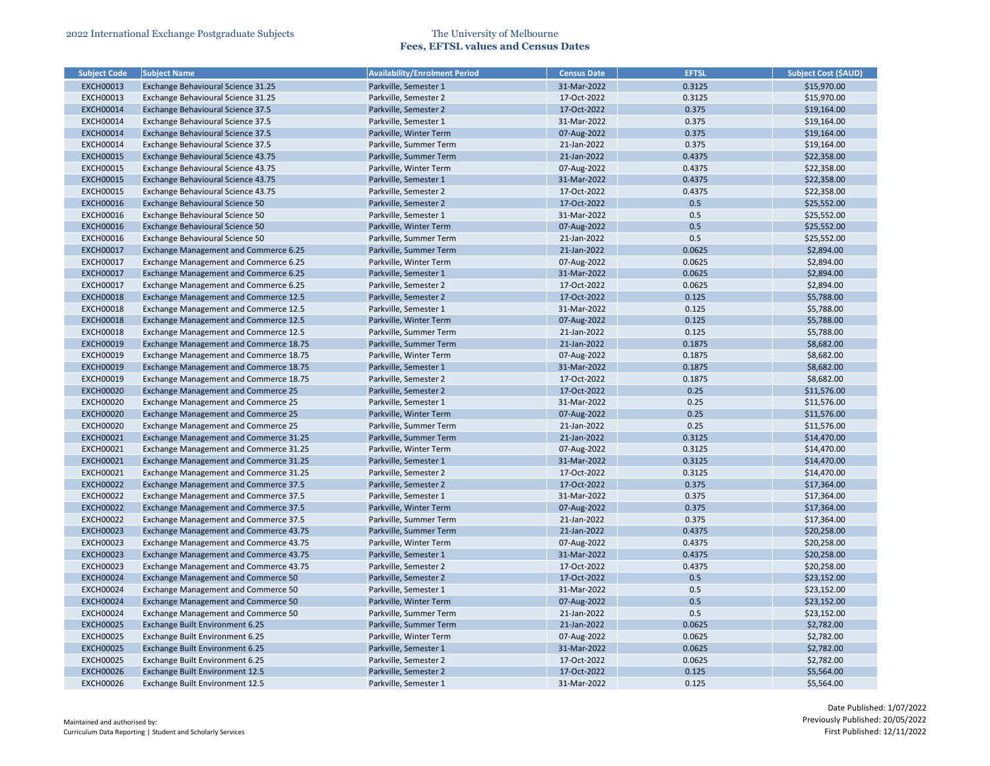| <b>Subject Code</b> | <b>Subject Name</b>                    | <b>Availability/Enrolment Period</b> | <b>Census Date</b> | <b>EFTSL</b> | <b>Subject Cost (\$AUD)</b> |
|---------------------|----------------------------------------|--------------------------------------|--------------------|--------------|-----------------------------|
| <b>EXCH00013</b>    | Exchange Behavioural Science 31.25     | Parkville, Semester 1                | 31-Mar-2022        | 0.3125       | \$15,970.00                 |
| <b>EXCH00013</b>    | Exchange Behavioural Science 31.25     | Parkville, Semester 2                | 17-Oct-2022        | 0.3125       | \$15,970.00                 |
| <b>EXCH00014</b>    | Exchange Behavioural Science 37.5      | Parkville, Semester 2                | 17-Oct-2022        | 0.375        | \$19,164.00                 |
| <b>EXCH00014</b>    | Exchange Behavioural Science 37.5      | Parkville, Semester 1                | 31-Mar-2022        | 0.375        | \$19,164.00                 |
| <b>EXCH00014</b>    | Exchange Behavioural Science 37.5      | Parkville, Winter Term               | 07-Aug-2022        | 0.375        | \$19,164.00                 |
| <b>EXCH00014</b>    | Exchange Behavioural Science 37.5      | Parkville, Summer Term               | 21-Jan-2022        | 0.375        | \$19,164.00                 |
| <b>EXCH00015</b>    | Exchange Behavioural Science 43.75     | Parkville, Summer Term               | 21-Jan-2022        | 0.4375       | \$22,358.00                 |
| <b>EXCH00015</b>    | Exchange Behavioural Science 43.75     | Parkville, Winter Term               | 07-Aug-2022        | 0.4375       | \$22,358.00                 |
| <b>EXCH00015</b>    | Exchange Behavioural Science 43.75     | Parkville, Semester 1                | 31-Mar-2022        | 0.4375       | \$22,358.00                 |
| <b>EXCH00015</b>    | Exchange Behavioural Science 43.75     | Parkville, Semester 2                | 17-Oct-2022        | 0.4375       | \$22,358.00                 |
| <b>EXCH00016</b>    | Exchange Behavioural Science 50        | Parkville, Semester 2                | 17-Oct-2022        | 0.5          | \$25,552.00                 |
| <b>EXCH00016</b>    | Exchange Behavioural Science 50        | Parkville, Semester 1                | 31-Mar-2022        | 0.5          | \$25,552.00                 |
| <b>EXCH00016</b>    | Exchange Behavioural Science 50        | Parkville, Winter Term               | 07-Aug-2022        | 0.5          | \$25,552.00                 |
| <b>EXCH00016</b>    | Exchange Behavioural Science 50        | Parkville, Summer Term               | 21-Jan-2022        | 0.5          | \$25,552.00                 |
| <b>EXCH00017</b>    | Exchange Management and Commerce 6.25  | Parkville, Summer Term               | 21-Jan-2022        | 0.0625       | \$2,894.00                  |
| <b>EXCH00017</b>    | Exchange Management and Commerce 6.25  | Parkville, Winter Term               | 07-Aug-2022        | 0.0625       | \$2,894.00                  |
| <b>EXCH00017</b>    | Exchange Management and Commerce 6.25  | Parkville, Semester 1                | 31-Mar-2022        | 0.0625       | \$2,894.00                  |
| <b>EXCH00017</b>    | Exchange Management and Commerce 6.25  | Parkville, Semester 2                | 17-Oct-2022        | 0.0625       | \$2,894.00                  |
| <b>EXCH00018</b>    | Exchange Management and Commerce 12.5  | Parkville, Semester 2                | 17-Oct-2022        | 0.125        | \$5,788.00                  |
| <b>EXCH00018</b>    | Exchange Management and Commerce 12.5  | Parkville, Semester 1                | 31-Mar-2022        | 0.125        | \$5,788.00                  |
| <b>EXCH00018</b>    | Exchange Management and Commerce 12.5  | Parkville, Winter Term               | 07-Aug-2022        | 0.125        | \$5,788.00                  |
| <b>EXCH00018</b>    | Exchange Management and Commerce 12.5  | Parkville, Summer Term               | 21-Jan-2022        | 0.125        | \$5,788.00                  |
| <b>EXCH00019</b>    | Exchange Management and Commerce 18.75 | Parkville, Summer Term               | 21-Jan-2022        | 0.1875       | \$8,682.00                  |
| <b>EXCH00019</b>    | Exchange Management and Commerce 18.75 | Parkville, Winter Term               | 07-Aug-2022        | 0.1875       | \$8,682.00                  |
| <b>EXCH00019</b>    | Exchange Management and Commerce 18.75 | Parkville, Semester 1                | 31-Mar-2022        | 0.1875       | \$8,682.00                  |
| <b>EXCH00019</b>    | Exchange Management and Commerce 18.75 | Parkville, Semester 2                | 17-Oct-2022        | 0.1875       | \$8,682.00                  |
| <b>EXCH00020</b>    | Exchange Management and Commerce 25    | Parkville, Semester 2                | 17-Oct-2022        | 0.25         | \$11,576.00                 |
| <b>EXCH00020</b>    | Exchange Management and Commerce 25    | Parkville, Semester 1                | 31-Mar-2022        | 0.25         | \$11,576.00                 |
| <b>EXCH00020</b>    | Exchange Management and Commerce 25    | Parkville, Winter Term               | 07-Aug-2022        | 0.25         | \$11,576.00                 |
| <b>EXCH00020</b>    | Exchange Management and Commerce 25    | Parkville, Summer Term               | 21-Jan-2022        | 0.25         | \$11,576.00                 |
| <b>EXCH00021</b>    | Exchange Management and Commerce 31.25 | Parkville, Summer Term               | 21-Jan-2022        | 0.3125       | \$14,470.00                 |
| <b>EXCH00021</b>    | Exchange Management and Commerce 31.25 | Parkville, Winter Term               | 07-Aug-2022        | 0.3125       | \$14,470.00                 |
| <b>EXCH00021</b>    | Exchange Management and Commerce 31.25 | Parkville, Semester 1                | 31-Mar-2022        | 0.3125       | \$14,470.00                 |
| <b>EXCH00021</b>    | Exchange Management and Commerce 31.25 | Parkville, Semester 2                | 17-Oct-2022        | 0.3125       | \$14,470.00                 |
| <b>EXCH00022</b>    | Exchange Management and Commerce 37.5  | Parkville, Semester 2                | 17-Oct-2022        | 0.375        | \$17,364.00                 |
| <b>EXCH00022</b>    | Exchange Management and Commerce 37.5  | Parkville, Semester 1                | 31-Mar-2022        | 0.375        | \$17,364.00                 |
| <b>EXCH00022</b>    | Exchange Management and Commerce 37.5  | Parkville, Winter Term               | 07-Aug-2022        | 0.375        | \$17,364.00                 |
| <b>EXCH00022</b>    | Exchange Management and Commerce 37.5  | Parkville, Summer Term               | 21-Jan-2022        | 0.375        | \$17,364.00                 |
| <b>EXCH00023</b>    | Exchange Management and Commerce 43.75 | Parkville, Summer Term               | 21-Jan-2022        | 0.4375       | \$20,258.00                 |
| <b>EXCH00023</b>    | Exchange Management and Commerce 43.75 | Parkville, Winter Term               | 07-Aug-2022        | 0.4375       | \$20,258.00                 |
| <b>EXCH00023</b>    | Exchange Management and Commerce 43.75 | Parkville, Semester 1                | 31-Mar-2022        | 0.4375       | \$20,258.00                 |
| <b>EXCH00023</b>    | Exchange Management and Commerce 43.75 | Parkville, Semester 2                | 17-Oct-2022        | 0.4375       | \$20,258.00                 |
| <b>EXCH00024</b>    | Exchange Management and Commerce 50    | Parkville, Semester 2                | 17-Oct-2022        | 0.5          | \$23,152.00                 |
| <b>EXCH00024</b>    | Exchange Management and Commerce 50    | Parkville, Semester 1                | 31-Mar-2022        | 0.5          | \$23,152.00                 |
| <b>EXCH00024</b>    | Exchange Management and Commerce 50    | Parkville, Winter Term               | 07-Aug-2022        | 0.5          | \$23,152.00                 |
| <b>EXCH00024</b>    | Exchange Management and Commerce 50    | Parkville, Summer Term               | 21-Jan-2022        | 0.5          | \$23,152.00                 |
| <b>EXCH00025</b>    | Exchange Built Environment 6.25        | Parkville, Summer Term               | 21-Jan-2022        | 0.0625       | \$2,782.00                  |
| <b>EXCH00025</b>    | Exchange Built Environment 6.25        | Parkville, Winter Term               | 07-Aug-2022        | 0.0625       | \$2,782.00                  |
| <b>EXCH00025</b>    | Exchange Built Environment 6.25        | Parkville, Semester 1                | 31-Mar-2022        | 0.0625       | \$2,782.00                  |
| <b>EXCH00025</b>    | Exchange Built Environment 6.25        | Parkville, Semester 2                | 17-Oct-2022        | 0.0625       | \$2,782.00                  |
| <b>EXCH00026</b>    | Exchange Built Environment 12.5        | Parkville, Semester 2                | 17-Oct-2022        | 0.125        | \$5,564.00                  |
| <b>EXCH00026</b>    | Exchange Built Environment 12.5        | Parkville, Semester 1                | 31-Mar-2022        | 0.125        | \$5,564.00                  |
|                     |                                        |                                      |                    |              |                             |

| <b>Subject Cost (SAUD)</b> |
|----------------------------|
| \$15,970.00                |
| \$15,970.00                |
| \$19,164.00                |
| \$19,164.00                |
| \$19,164.00                |
| \$19,164.00                |
| \$22,358.00                |
| \$22,358.00                |
| \$22,358.00                |
| \$22,358.00                |
| \$25,552.00                |
| \$25,552.00                |
| \$25,552.00                |
| \$25,552.00                |
| \$2,894.00                 |
| \$2,894.00                 |
| \$2,894.00                 |
| \$2,894.00                 |
| \$5,788.00                 |
| \$5,788.00                 |
| \$5,788.00                 |
| \$5,788.00                 |
| \$8,682.00                 |
| \$8,682.00                 |
| \$8,682.00                 |
| \$8,682.00                 |
|                            |
| \$11,576.00                |
| \$11,576.00                |
| \$11,576.00<br>\$11,576.00 |
|                            |
| \$14,470.00                |
| \$14,470.00                |
| \$14,470.00                |
| \$14,470.00                |
| \$17,364.00                |
| \$17,364.00                |
| \$17,364.00                |
| \$17,364.00                |
| \$20,258.00                |
| \$20,258.00                |
| \$20,258.00                |
| \$20,258.00                |
| \$23,152.00                |
| \$23,152.00                |
| \$23,152.00                |
| \$23,152.00                |
| \$2,782.00                 |
| \$2,782.00                 |
| \$2,782.00                 |
| \$2,782.00                 |
| \$5,564.00                 |
| \$5,564.00                 |
|                            |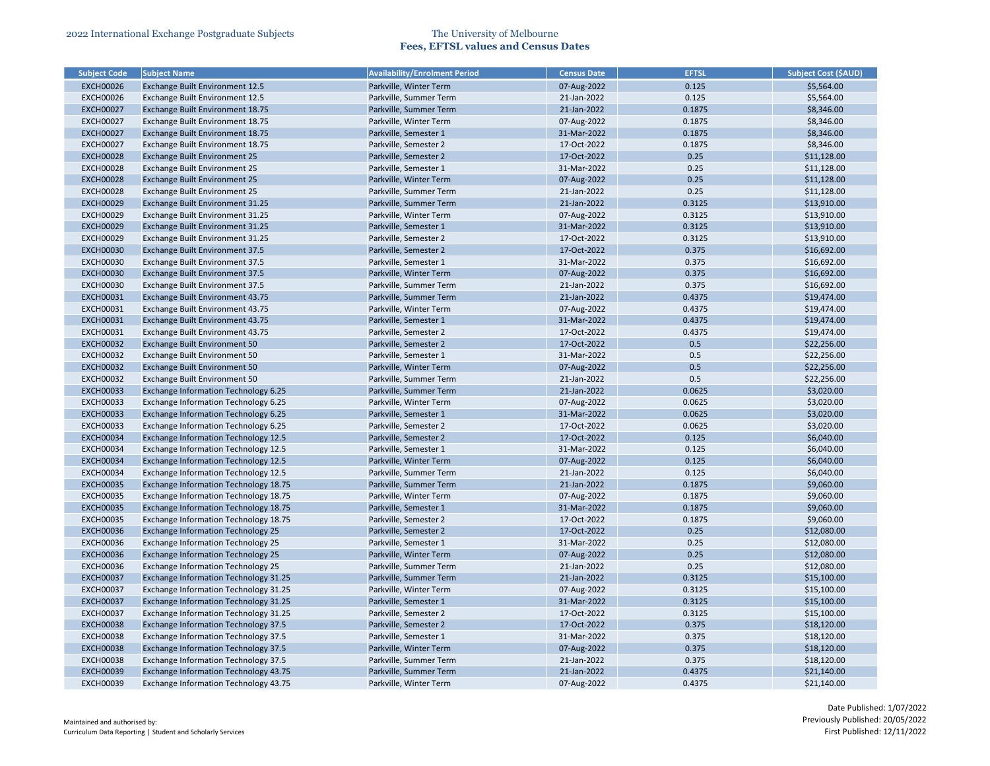| <b>Subject Code</b> | <b>Subject Name</b>                          | <b>Availability/Enrolment Period</b> | <b>Census Date</b> | <b>EFTSL</b> | <b>Subject Cost (\$AUD)</b> |
|---------------------|----------------------------------------------|--------------------------------------|--------------------|--------------|-----------------------------|
| <b>EXCH00026</b>    | Exchange Built Environment 12.5              | Parkville, Winter Term               | 07-Aug-2022        | 0.125        | \$5,564.00                  |
| <b>EXCH00026</b>    | Exchange Built Environment 12.5              | Parkville, Summer Term               | 21-Jan-2022        | 0.125        | \$5,564.00                  |
| <b>EXCH00027</b>    | Exchange Built Environment 18.75             | Parkville, Summer Term               | 21-Jan-2022        | 0.1875       | \$8,346.00                  |
| <b>EXCH00027</b>    | Exchange Built Environment 18.75             | Parkville, Winter Term               | 07-Aug-2022        | 0.1875       | \$8,346.00                  |
| <b>EXCH00027</b>    | Exchange Built Environment 18.75             | Parkville, Semester 1                | 31-Mar-2022        | 0.1875       | \$8,346.00                  |
| <b>EXCH00027</b>    | Exchange Built Environment 18.75             | Parkville, Semester 2                | 17-Oct-2022        | 0.1875       | \$8,346.00                  |
| <b>EXCH00028</b>    | Exchange Built Environment 25                | Parkville, Semester 2                | 17-Oct-2022        | 0.25         | \$11,128.00                 |
| <b>EXCH00028</b>    | Exchange Built Environment 25                | Parkville, Semester 1                | 31-Mar-2022        | 0.25         | \$11,128.00                 |
| <b>EXCH00028</b>    | Exchange Built Environment 25                | Parkville, Winter Term               | 07-Aug-2022        | 0.25         | \$11,128.00                 |
| <b>EXCH00028</b>    | Exchange Built Environment 25                | Parkville, Summer Term               | 21-Jan-2022        | 0.25         | \$11,128.00                 |
| <b>EXCH00029</b>    | Exchange Built Environment 31.25             | Parkville, Summer Term               | 21-Jan-2022        | 0.3125       | \$13,910.00                 |
| <b>EXCH00029</b>    | Exchange Built Environment 31.25             | Parkville, Winter Term               | 07-Aug-2022        | 0.3125       | \$13,910.00                 |
| <b>EXCH00029</b>    | Exchange Built Environment 31.25             | Parkville, Semester 1                | 31-Mar-2022        | 0.3125       | \$13,910.00                 |
| <b>EXCH00029</b>    | Exchange Built Environment 31.25             | Parkville, Semester 2                | 17-Oct-2022        | 0.3125       | \$13,910.00                 |
| <b>EXCH00030</b>    | Exchange Built Environment 37.5              | Parkville, Semester 2                | 17-Oct-2022        | 0.375        | \$16,692.00                 |
| <b>EXCH00030</b>    | Exchange Built Environment 37.5              | Parkville, Semester 1                | 31-Mar-2022        | 0.375        | \$16,692.00                 |
| <b>EXCH00030</b>    | Exchange Built Environment 37.5              | Parkville, Winter Term               | 07-Aug-2022        | 0.375        | \$16,692.00                 |
| <b>EXCH00030</b>    | Exchange Built Environment 37.5              | Parkville, Summer Term               | 21-Jan-2022        | 0.375        | \$16,692.00                 |
| <b>EXCH00031</b>    | Exchange Built Environment 43.75             | Parkville, Summer Term               | 21-Jan-2022        | 0.4375       | \$19,474.00                 |
| <b>EXCH00031</b>    | Exchange Built Environment 43.75             | Parkville, Winter Term               | 07-Aug-2022        | 0.4375       | \$19,474.00                 |
| <b>EXCH00031</b>    | Exchange Built Environment 43.75             | Parkville, Semester 1                | 31-Mar-2022        | 0.4375       | \$19,474.00                 |
| <b>EXCH00031</b>    | Exchange Built Environment 43.75             | Parkville, Semester 2                | 17-Oct-2022        | 0.4375       | \$19,474.00                 |
| <b>EXCH00032</b>    | Exchange Built Environment 50                | Parkville, Semester 2                | 17-Oct-2022        | 0.5          | \$22,256.00                 |
| <b>EXCH00032</b>    | Exchange Built Environment 50                | Parkville, Semester 1                | 31-Mar-2022        | 0.5          | \$22,256.00                 |
| <b>EXCH00032</b>    | Exchange Built Environment 50                | Parkville, Winter Term               | 07-Aug-2022        | 0.5          | \$22,256.00                 |
| <b>EXCH00032</b>    | Exchange Built Environment 50                | Parkville, Summer Term               | 21-Jan-2022        | 0.5          | \$22,256.00                 |
| <b>EXCH00033</b>    | Exchange Information Technology 6.25         | Parkville, Summer Term               | 21-Jan-2022        | 0.0625       | \$3,020.00                  |
| <b>EXCH00033</b>    | Exchange Information Technology 6.25         | Parkville, Winter Term               | 07-Aug-2022        | 0.0625       | \$3,020.00                  |
| <b>EXCH00033</b>    | Exchange Information Technology 6.25         | Parkville, Semester 1                | 31-Mar-2022        | 0.0625       | \$3,020.00                  |
| <b>EXCH00033</b>    | Exchange Information Technology 6.25         | Parkville, Semester 2                | 17-Oct-2022        | 0.0625       | \$3,020.00                  |
| <b>EXCH00034</b>    | <b>Exchange Information Technology 12.5</b>  | Parkville, Semester 2                | 17-Oct-2022        | 0.125        | \$6,040.00                  |
| <b>EXCH00034</b>    | Exchange Information Technology 12.5         | Parkville, Semester 1                | 31-Mar-2022        | 0.125        | \$6,040.00                  |
| <b>EXCH00034</b>    | <b>Exchange Information Technology 12.5</b>  | Parkville, Winter Term               | 07-Aug-2022        | 0.125        | \$6,040.00                  |
| <b>EXCH00034</b>    | <b>Exchange Information Technology 12.5</b>  | Parkville, Summer Term               | 21-Jan-2022        | 0.125        | \$6,040.00                  |
| <b>EXCH00035</b>    | Exchange Information Technology 18.75        | Parkville, Summer Term               | 21-Jan-2022        | 0.1875       | \$9,060.00                  |
| <b>EXCH00035</b>    | Exchange Information Technology 18.75        | Parkville, Winter Term               | 07-Aug-2022        | 0.1875       | \$9,060.00                  |
| <b>EXCH00035</b>    | Exchange Information Technology 18.75        | Parkville, Semester 1                | 31-Mar-2022        | 0.1875       | \$9,060.00                  |
| <b>EXCH00035</b>    | Exchange Information Technology 18.75        | Parkville, Semester 2                | 17-Oct-2022        | 0.1875       | \$9,060.00                  |
| <b>EXCH00036</b>    | <b>Exchange Information Technology 25</b>    | Parkville, Semester 2                | 17-Oct-2022        | 0.25         | \$12,080.00                 |
| <b>EXCH00036</b>    | Exchange Information Technology 25           | Parkville, Semester 1                | 31-Mar-2022        | 0.25         | \$12,080.00                 |
| <b>EXCH00036</b>    | Exchange Information Technology 25           | Parkville, Winter Term               | 07-Aug-2022        | 0.25         | \$12,080.00                 |
| <b>EXCH00036</b>    | Exchange Information Technology 25           | Parkville, Summer Term               | 21-Jan-2022        | 0.25         | \$12,080.00                 |
| <b>EXCH00037</b>    | Exchange Information Technology 31.25        | Parkville, Summer Term               | 21-Jan-2022        | 0.3125       | \$15,100.00                 |
| <b>EXCH00037</b>    | Exchange Information Technology 31.25        | Parkville, Winter Term               | 07-Aug-2022        | 0.3125       | \$15,100.00                 |
| <b>EXCH00037</b>    | <b>Exchange Information Technology 31.25</b> | Parkville, Semester 1                | 31-Mar-2022        | 0.3125       | \$15,100.00                 |
| <b>EXCH00037</b>    | Exchange Information Technology 31.25        | Parkville, Semester 2                | 17-Oct-2022        | 0.3125       | \$15,100.00                 |
| <b>EXCH00038</b>    | <b>Exchange Information Technology 37.5</b>  | Parkville, Semester 2                | 17-Oct-2022        | 0.375        | \$18,120.00                 |
| <b>EXCH00038</b>    | <b>Exchange Information Technology 37.5</b>  | Parkville, Semester 1                | 31-Mar-2022        | 0.375        | \$18,120.00                 |
| <b>EXCH00038</b>    | <b>Exchange Information Technology 37.5</b>  | Parkville, Winter Term               | 07-Aug-2022        | 0.375        | \$18,120.00                 |
| <b>EXCH00038</b>    | Exchange Information Technology 37.5         | Parkville, Summer Term               | 21-Jan-2022        | 0.375        | \$18,120.00                 |
| <b>EXCH00039</b>    | Exchange Information Technology 43.75        | Parkville, Summer Term               | 21-Jan-2022        | 0.4375       | \$21,140.00                 |
| <b>EXCH00039</b>    | Exchange Information Technology 43.75        | Parkville, Winter Term               | 07-Aug-2022        | 0.4375       | \$21,140.00                 |
|                     |                                              |                                      |                    |              |                             |

| <b>Subject Cost (\$AUD)</b> |
|-----------------------------|
| \$5,564.00                  |
| \$5,564.00                  |
| \$8,346.00                  |
| \$8,346.00                  |
| \$8,346.00                  |
| \$8,346.00                  |
| \$11,128.00                 |
| \$11,128.00                 |
| \$11,128.00                 |
| \$11,128.00                 |
| \$13,910.00                 |
| \$13,910.00                 |
| \$13,910.00                 |
| \$13,910.00                 |
| \$16,692.00                 |
| \$16,692.00                 |
| \$16,692.00                 |
| \$16,692.00                 |
| \$19,474.00                 |
| \$19,474.00                 |
| \$19,474.00                 |
| \$19,474.00                 |
| \$22,256.00                 |
| \$22,256.00                 |
| \$22,256.00                 |
| \$22,256.00                 |
| \$3,020.00                  |
| \$3,020.00                  |
| \$3,020.00                  |
| \$3,020.00                  |
| \$6,040.00                  |
| \$6,040.00                  |
| \$6,040.00                  |
| \$6,040.00                  |
| \$9,060.00                  |
| \$9,060.00                  |
| \$9,060.00                  |
| \$9,060.00                  |
| \$12,080.00                 |
| \$12,080.00                 |
| \$12,080.00                 |
| \$12,080.00                 |
|                             |
| \$15,100.00                 |
| \$15,100.00                 |
| \$15,100.00                 |
| \$15,100.00                 |
| \$18,120.00                 |
| \$18,120.00                 |
| \$18,120.00                 |
| \$18,120.00                 |
| \$21,140.00                 |
| \$21,140.00                 |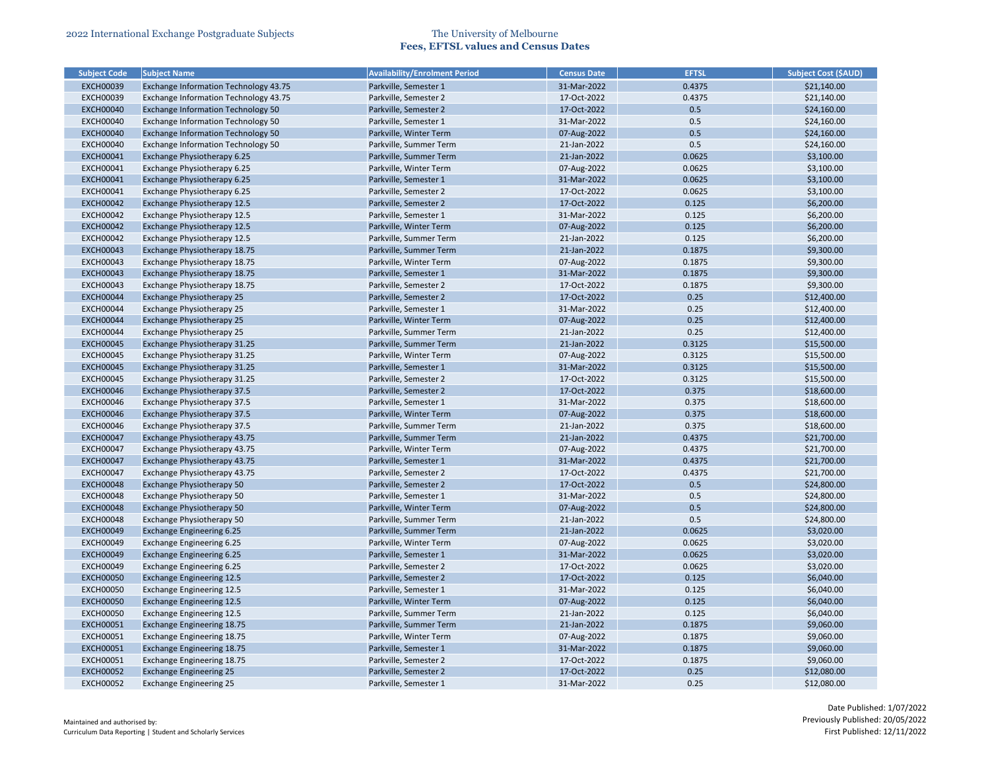| <b>Subject Code</b> | <b>Subject Name</b>                       | <b>Availability/Enrolment Period</b> | <b>Census Date</b> | <b>EFTSL</b>     | <b>Subject Cost (\$AUD)</b> |
|---------------------|-------------------------------------------|--------------------------------------|--------------------|------------------|-----------------------------|
| <b>EXCH00039</b>    | Exchange Information Technology 43.75     | Parkville, Semester 1                | 31-Mar-2022        | 0.4375           | \$21,140.00                 |
| <b>EXCH00039</b>    | Exchange Information Technology 43.75     | Parkville, Semester 2                | 17-Oct-2022        | 0.4375           | \$21,140.00                 |
| <b>EXCH00040</b>    | Exchange Information Technology 50        | Parkville, Semester 2                | 17-Oct-2022        | 0.5              | \$24,160.00                 |
| <b>EXCH00040</b>    | <b>Exchange Information Technology 50</b> | Parkville, Semester 1                | 31-Mar-2022        | 0.5              | \$24,160.00                 |
| <b>EXCH00040</b>    | Exchange Information Technology 50        | Parkville, Winter Term               | 07-Aug-2022        | 0.5              | \$24,160.00                 |
| <b>EXCH00040</b>    | Exchange Information Technology 50        | Parkville, Summer Term               | 21-Jan-2022        | 0.5              | \$24,160.00                 |
| <b>EXCH00041</b>    | Exchange Physiotherapy 6.25               | Parkville, Summer Term               | 21-Jan-2022        | 0.0625           | \$3,100.00                  |
| <b>EXCH00041</b>    | Exchange Physiotherapy 6.25               | Parkville, Winter Term               | 07-Aug-2022        | 0.0625           | \$3,100.00                  |
| <b>EXCH00041</b>    | Exchange Physiotherapy 6.25               | Parkville, Semester 1                | 31-Mar-2022        | 0.0625           | \$3,100.00                  |
| <b>EXCH00041</b>    | Exchange Physiotherapy 6.25               | Parkville, Semester 2                | 17-Oct-2022        | 0.0625           | \$3,100.00                  |
| <b>EXCH00042</b>    | Exchange Physiotherapy 12.5               | Parkville, Semester 2                | 17-Oct-2022        | 0.125            | \$6,200.00                  |
| <b>EXCH00042</b>    | Exchange Physiotherapy 12.5               | Parkville, Semester 1                | 31-Mar-2022        | 0.125            | \$6,200.00                  |
| <b>EXCH00042</b>    | Exchange Physiotherapy 12.5               | Parkville, Winter Term               | 07-Aug-2022        | 0.125            | \$6,200.00                  |
| <b>EXCH00042</b>    | Exchange Physiotherapy 12.5               | Parkville, Summer Term               | 21-Jan-2022        | 0.125            | \$6,200.00                  |
| <b>EXCH00043</b>    | Exchange Physiotherapy 18.75              | Parkville, Summer Term               | 21-Jan-2022        | 0.1875           | \$9,300.00                  |
| <b>EXCH00043</b>    | Exchange Physiotherapy 18.75              | Parkville, Winter Term               | 07-Aug-2022        | 0.1875           | \$9,300.00                  |
| <b>EXCH00043</b>    | Exchange Physiotherapy 18.75              | Parkville, Semester 1                | 31-Mar-2022        | 0.1875           | \$9,300.00                  |
| <b>EXCH00043</b>    | Exchange Physiotherapy 18.75              | Parkville, Semester 2                | 17-Oct-2022        | 0.1875           | \$9,300.00                  |
| <b>EXCH00044</b>    | Exchange Physiotherapy 25                 | Parkville, Semester 2                | 17-Oct-2022        | 0.25             | \$12,400.00                 |
| <b>EXCH00044</b>    | Exchange Physiotherapy 25                 | Parkville, Semester 1                | 31-Mar-2022        | 0.25             | \$12,400.00                 |
| <b>EXCH00044</b>    | Exchange Physiotherapy 25                 | Parkville, Winter Term               | 07-Aug-2022        | 0.25             | \$12,400.00                 |
| <b>EXCH00044</b>    | Exchange Physiotherapy 25                 | Parkville, Summer Term               | 21-Jan-2022        | 0.25             | \$12,400.00                 |
| <b>EXCH00045</b>    | Exchange Physiotherapy 31.25              | Parkville, Summer Term               | 21-Jan-2022        | 0.3125           | \$15,500.00                 |
| <b>EXCH00045</b>    | Exchange Physiotherapy 31.25              | Parkville, Winter Term               | 07-Aug-2022        | 0.3125           | \$15,500.00                 |
| <b>EXCH00045</b>    | Exchange Physiotherapy 31.25              | Parkville, Semester 1                | 31-Mar-2022        | 0.3125           | \$15,500.00                 |
| <b>EXCH00045</b>    | Exchange Physiotherapy 31.25              | Parkville, Semester 2                | 17-Oct-2022        | 0.3125           | \$15,500.00                 |
| <b>EXCH00046</b>    | Exchange Physiotherapy 37.5               | Parkville, Semester 2                | 17-Oct-2022        | 0.375            | \$18,600.00                 |
| <b>EXCH00046</b>    | Exchange Physiotherapy 37.5               | Parkville, Semester 1                | 31-Mar-2022        | 0.375            | \$18,600.00                 |
| <b>EXCH00046</b>    | Exchange Physiotherapy 37.5               | Parkville, Winter Term               | 07-Aug-2022        | 0.375            | \$18,600.00                 |
| <b>EXCH00046</b>    | Exchange Physiotherapy 37.5               | Parkville, Summer Term               | 21-Jan-2022        | 0.375            | \$18,600.00                 |
| <b>EXCH00047</b>    | Exchange Physiotherapy 43.75              | Parkville, Summer Term               | 21-Jan-2022        | 0.4375           | \$21,700.00                 |
| <b>EXCH00047</b>    | Exchange Physiotherapy 43.75              | Parkville, Winter Term               | 07-Aug-2022        | 0.4375           | \$21,700.00                 |
| <b>EXCH00047</b>    | Exchange Physiotherapy 43.75              | Parkville, Semester 1                | 31-Mar-2022        | 0.4375           | \$21,700.00                 |
| <b>EXCH00047</b>    | Exchange Physiotherapy 43.75              | Parkville, Semester 2                | 17-Oct-2022        | 0.4375           | \$21,700.00                 |
| <b>EXCH00048</b>    | Exchange Physiotherapy 50                 | Parkville, Semester 2                | 17-Oct-2022        | 0.5              | \$24,800.00                 |
| <b>EXCH00048</b>    | Exchange Physiotherapy 50                 | Parkville, Semester 1                | 31-Mar-2022        | 0.5              | \$24,800.00                 |
| <b>EXCH00048</b>    | Exchange Physiotherapy 50                 | Parkville, Winter Term               | 07-Aug-2022        | 0.5              | \$24,800.00                 |
| <b>EXCH00048</b>    | Exchange Physiotherapy 50                 | Parkville, Summer Term               | 21-Jan-2022        | 0.5              | \$24,800.00                 |
| <b>EXCH00049</b>    | Exchange Engineering 6.25                 | Parkville, Summer Term               | 21-Jan-2022        | 0.0625           | \$3,020.00                  |
| <b>EXCH00049</b>    | Exchange Engineering 6.25                 | Parkville, Winter Term               | 07-Aug-2022        | 0.0625           | \$3,020.00                  |
| <b>EXCH00049</b>    | <b>Exchange Engineering 6.25</b>          | Parkville, Semester 1                | 31-Mar-2022        | 0.0625           | \$3,020.00                  |
| <b>EXCH00049</b>    | Exchange Engineering 6.25                 | Parkville, Semester 2                | 17-Oct-2022        | 0.0625           | \$3,020.00                  |
| <b>EXCH00050</b>    | <b>Exchange Engineering 12.5</b>          | Parkville, Semester 2                | 17-Oct-2022        | 0.125            | \$6,040.00                  |
| <b>EXCH00050</b>    | <b>Exchange Engineering 12.5</b>          | Parkville, Semester 1                | 31-Mar-2022        | 0.125            | \$6,040.00                  |
| <b>EXCH00050</b>    | <b>Exchange Engineering 12.5</b>          | Parkville, Winter Term               | 07-Aug-2022        | 0.125            | \$6,040.00                  |
| <b>EXCH00050</b>    | <b>Exchange Engineering 12.5</b>          | Parkville, Summer Term               | 21-Jan-2022        | 0.125            | \$6,040.00                  |
|                     |                                           |                                      |                    |                  |                             |
| <b>EXCH00051</b>    | Exchange Engineering 18.75                | Parkville, Summer Term               | 21-Jan-2022        | 0.1875           | \$9,060.00                  |
| <b>EXCH00051</b>    | Exchange Engineering 18.75                | Parkville, Winter Term               | 07-Aug-2022        | 0.1875<br>0.1875 | \$9,060.00                  |
| <b>EXCH00051</b>    | <b>Exchange Engineering 18.75</b>         | Parkville, Semester 1                | 31-Mar-2022        |                  | \$9,060.00                  |
| <b>EXCH00051</b>    | <b>Exchange Engineering 18.75</b>         | Parkville, Semester 2                | 17-Oct-2022        | 0.1875           | \$9,060.00                  |
| <b>EXCH00052</b>    | <b>Exchange Engineering 25</b>            | Parkville, Semester 2                | 17-Oct-2022        | 0.25             | \$12,080.00                 |
| <b>EXCH00052</b>    | <b>Exchange Engineering 25</b>            | Parkville, Semester 1                | 31-Mar-2022        | 0.25             | \$12,080.00                 |

| <b>Subject Cost (\$AUD)</b> |
|-----------------------------|
| \$21,140.00                 |
| \$21,140.00                 |
| \$24,160.00                 |
| \$24,160.00                 |
| \$24,160.00                 |
| \$24,160.00                 |
| \$3,100.00                  |
| \$3,100.00                  |
| \$3,100.00                  |
| \$3,100.00                  |
| \$6,200.00                  |
| \$6,200.00                  |
| \$6,200.00                  |
| \$6,200.00                  |
| \$9,300.00                  |
| \$9,300.00                  |
| \$9,300.00                  |
| \$9,300.00                  |
| \$12,400.00                 |
| \$12,400.00                 |
| \$12,400.00                 |
| \$12,400.00                 |
| \$15,500.00                 |
| \$15,500.00                 |
| \$15,500.00                 |
| \$15,500.00                 |
| \$18,600.00                 |
| \$18,600.00                 |
| \$18,600.00                 |
| \$18,600.00                 |
| \$21,700.00                 |
| \$21,700.00                 |
| \$21,700.00                 |
| \$21,700.00                 |
|                             |
| \$24,800.00                 |
| \$24,800.00                 |
| \$24,800.00                 |
| \$24,800.00                 |
| \$3,020.00                  |
| \$3,020.00                  |
| \$3,020.00                  |
| \$3,020.00                  |
| \$6,040.00                  |
| \$6,040.00                  |
| \$6,040.00                  |
| \$6,040.00                  |
| \$9,060.00                  |
| \$9,060.00                  |
| \$9,060.00                  |
| \$9,060.00                  |
| \$12,080.00                 |
| \$12,080.00                 |
|                             |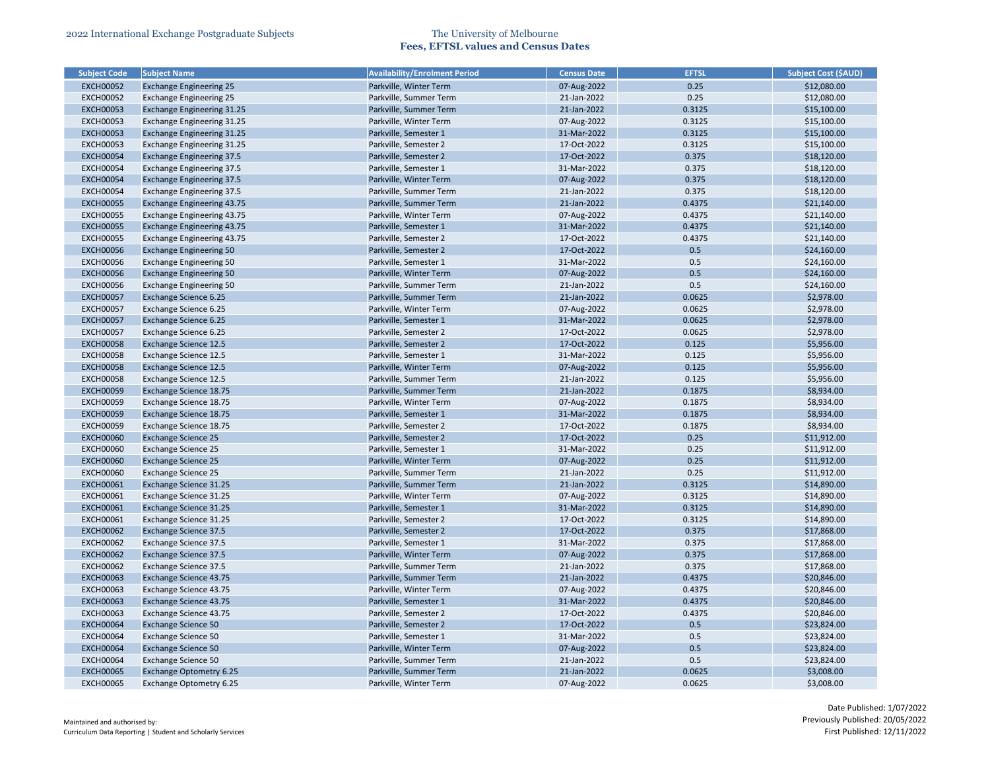| <b>Subject Code</b> | <b>Subject Name</b>               | <b>Availability/Enrolment Period</b> | <b>Census Date</b> | <b>EFTSL</b> | <b>Subject Cost (\$AUD)</b> |
|---------------------|-----------------------------------|--------------------------------------|--------------------|--------------|-----------------------------|
| <b>EXCH00052</b>    | <b>Exchange Engineering 25</b>    | Parkville, Winter Term               | 07-Aug-2022        | 0.25         | \$12,080.00                 |
| <b>EXCH00052</b>    | <b>Exchange Engineering 25</b>    | Parkville, Summer Term               | 21-Jan-2022        | 0.25         | \$12,080.00                 |
| <b>EXCH00053</b>    | Exchange Engineering 31.25        | Parkville, Summer Term               | 21-Jan-2022        | 0.3125       | \$15,100.00                 |
| <b>EXCH00053</b>    | Exchange Engineering 31.25        | Parkville, Winter Term               | 07-Aug-2022        | 0.3125       | \$15,100.00                 |
| <b>EXCH00053</b>    | Exchange Engineering 31.25        | Parkville, Semester 1                | 31-Mar-2022        | 0.3125       | \$15,100.00                 |
| <b>EXCH00053</b>    | Exchange Engineering 31.25        | Parkville, Semester 2                | 17-Oct-2022        | 0.3125       | \$15,100.00                 |
| <b>EXCH00054</b>    | <b>Exchange Engineering 37.5</b>  | Parkville, Semester 2                | 17-Oct-2022        | 0.375        | \$18,120.00                 |
| <b>EXCH00054</b>    | <b>Exchange Engineering 37.5</b>  | Parkville, Semester 1                | 31-Mar-2022        | 0.375        | \$18,120.00                 |
| <b>EXCH00054</b>    | <b>Exchange Engineering 37.5</b>  | Parkville, Winter Term               | 07-Aug-2022        | 0.375        | \$18,120.00                 |
| <b>EXCH00054</b>    | <b>Exchange Engineering 37.5</b>  | Parkville, Summer Term               | 21-Jan-2022        | 0.375        | \$18,120.00                 |
| <b>EXCH00055</b>    | <b>Exchange Engineering 43.75</b> | Parkville, Summer Term               | 21-Jan-2022        | 0.4375       | \$21,140.00                 |
| <b>EXCH00055</b>    | <b>Exchange Engineering 43.75</b> | Parkville, Winter Term               | 07-Aug-2022        | 0.4375       | \$21,140.00                 |
| <b>EXCH00055</b>    | Exchange Engineering 43.75        | Parkville, Semester 1                | 31-Mar-2022        | 0.4375       | \$21,140.00                 |
| <b>EXCH00055</b>    | Exchange Engineering 43.75        | Parkville, Semester 2                | 17-Oct-2022        | 0.4375       | \$21,140.00                 |
| <b>EXCH00056</b>    | <b>Exchange Engineering 50</b>    | Parkville, Semester 2                | 17-Oct-2022        | 0.5          | \$24,160.00                 |
| <b>EXCH00056</b>    | <b>Exchange Engineering 50</b>    | Parkville, Semester 1                | 31-Mar-2022        | 0.5          | \$24,160.00                 |
| <b>EXCH00056</b>    | <b>Exchange Engineering 50</b>    | Parkville, Winter Term               | 07-Aug-2022        | 0.5          | \$24,160.00                 |
| <b>EXCH00056</b>    | <b>Exchange Engineering 50</b>    | Parkville, Summer Term               | 21-Jan-2022        | 0.5          | \$24,160.00                 |
| <b>EXCH00057</b>    | Exchange Science 6.25             | Parkville, Summer Term               | 21-Jan-2022        | 0.0625       | \$2,978.00                  |
| <b>EXCH00057</b>    | Exchange Science 6.25             | Parkville, Winter Term               | 07-Aug-2022        | 0.0625       | \$2,978.00                  |
| <b>EXCH00057</b>    | Exchange Science 6.25             | Parkville, Semester 1                | 31-Mar-2022        | 0.0625       | \$2,978.00                  |
| <b>EXCH00057</b>    | Exchange Science 6.25             | Parkville, Semester 2                | 17-Oct-2022        | 0.0625       | \$2,978.00                  |
| <b>EXCH00058</b>    | Exchange Science 12.5             | Parkville, Semester 2                | 17-Oct-2022        | 0.125        | \$5,956.00                  |
| <b>EXCH00058</b>    | <b>Exchange Science 12.5</b>      | Parkville, Semester 1                | 31-Mar-2022        | 0.125        | \$5,956.00                  |
| <b>EXCH00058</b>    | <b>Exchange Science 12.5</b>      | Parkville, Winter Term               | 07-Aug-2022        | 0.125        | \$5,956.00                  |
| <b>EXCH00058</b>    | Exchange Science 12.5             | Parkville, Summer Term               | 21-Jan-2022        | 0.125        | \$5,956.00                  |
| <b>EXCH00059</b>    | Exchange Science 18.75            | Parkville, Summer Term               | 21-Jan-2022        | 0.1875       | \$8,934.00                  |
| <b>EXCH00059</b>    | Exchange Science 18.75            | Parkville, Winter Term               | 07-Aug-2022        | 0.1875       | \$8,934.00                  |
| <b>EXCH00059</b>    | Exchange Science 18.75            | Parkville, Semester 1                | 31-Mar-2022        | 0.1875       | \$8,934.00                  |
| <b>EXCH00059</b>    | Exchange Science 18.75            | Parkville, Semester 2                | 17-Oct-2022        | 0.1875       | \$8,934.00                  |
| <b>EXCH00060</b>    | <b>Exchange Science 25</b>        | Parkville, Semester 2                | 17-Oct-2022        | 0.25         | \$11,912.00                 |
| <b>EXCH00060</b>    | <b>Exchange Science 25</b>        | Parkville, Semester 1                | 31-Mar-2022        | 0.25         | \$11,912.00                 |
| <b>EXCH00060</b>    | <b>Exchange Science 25</b>        | Parkville, Winter Term               | 07-Aug-2022        | 0.25         | \$11,912.00                 |
| <b>EXCH00060</b>    | <b>Exchange Science 25</b>        | Parkville, Summer Term               | 21-Jan-2022        | 0.25         | \$11,912.00                 |
| <b>EXCH00061</b>    | Exchange Science 31.25            | Parkville, Summer Term               | 21-Jan-2022        | 0.3125       | \$14,890.00                 |
| <b>EXCH00061</b>    | Exchange Science 31.25            | Parkville, Winter Term               | 07-Aug-2022        | 0.3125       | \$14,890.00                 |
| <b>EXCH00061</b>    | Exchange Science 31.25            | Parkville, Semester 1                | 31-Mar-2022        | 0.3125       | \$14,890.00                 |
| <b>EXCH00061</b>    | Exchange Science 31.25            | Parkville, Semester 2                | 17-Oct-2022        | 0.3125       | \$14,890.00                 |
| <b>EXCH00062</b>    | <b>Exchange Science 37.5</b>      | Parkville, Semester 2                | 17-Oct-2022        | 0.375        | \$17,868.00                 |
| <b>EXCH00062</b>    | Exchange Science 37.5             | Parkville, Semester 1                | 31-Mar-2022        | 0.375        | \$17,868.00                 |
| <b>EXCH00062</b>    | <b>Exchange Science 37.5</b>      | Parkville, Winter Term               | 07-Aug-2022        | 0.375        | \$17,868.00                 |
| <b>EXCH00062</b>    | Exchange Science 37.5             | Parkville, Summer Term               | 21-Jan-2022        | 0.375        | \$17,868.00                 |
| <b>EXCH00063</b>    | Exchange Science 43.75            | Parkville, Summer Term               | 21-Jan-2022        | 0.4375       | \$20,846.00                 |
| <b>EXCH00063</b>    | Exchange Science 43.75            | Parkville, Winter Term               | 07-Aug-2022        | 0.4375       | \$20,846.00                 |
| <b>EXCH00063</b>    | Exchange Science 43.75            | Parkville, Semester 1                | 31-Mar-2022        | 0.4375       | \$20,846.00                 |
| <b>EXCH00063</b>    | Exchange Science 43.75            | Parkville, Semester 2                | 17-Oct-2022        | 0.4375       | \$20,846.00                 |
| <b>EXCH00064</b>    | <b>Exchange Science 50</b>        | Parkville, Semester 2                | 17-Oct-2022        | 0.5          | \$23,824.00                 |
| <b>EXCH00064</b>    | <b>Exchange Science 50</b>        | Parkville, Semester 1                | 31-Mar-2022        | 0.5          | \$23,824.00                 |
| <b>EXCH00064</b>    | <b>Exchange Science 50</b>        | Parkville, Winter Term               | 07-Aug-2022        | 0.5          | \$23,824.00                 |
| <b>EXCH00064</b>    | <b>Exchange Science 50</b>        | Parkville, Summer Term               | 21-Jan-2022        | 0.5          | \$23,824.00                 |
| <b>EXCH00065</b>    | Exchange Optometry 6.25           | Parkville, Summer Term               | 21-Jan-2022        | 0.0625       | \$3,008.00                  |
|                     |                                   |                                      |                    |              |                             |
| <b>EXCH00065</b>    | Exchange Optometry 6.25           | Parkville, Winter Term               | 07-Aug-2022        | 0.0625       | \$3,008.00                  |

| Subject Cost (ȘAUD) |
|---------------------|
| \$12,080.00         |
| \$12,080.00         |
| \$15,100.00         |
| \$15,100.00         |
| \$15,100.00         |
| \$15,100.00         |
| \$18,120.00         |
| \$18,120.00         |
| \$18,120.00         |
| \$18,120.00         |
| \$21,140.00         |
| \$21,140.00         |
| \$21,140.00         |
| \$21,140.00         |
| \$24,160.00         |
| \$24,160.00         |
| \$24,160.00         |
| \$24,160.00         |
| \$2,978.00          |
| \$2,978.00          |
| \$2,978.00          |
| \$2,978.00          |
| \$5,956.00          |
| \$5,956.00          |
| \$5,956.00          |
| \$5,956.00          |
| \$8,934.00          |
| \$8,934.00          |
| \$8,934.00          |
| \$8,934.00          |
| \$11,912.00         |
| \$11,912.00         |
| \$11,912.00         |
| \$11,912.00         |
| \$14,890.00         |
| \$14,890.00         |
| \$14,890.00         |
| \$14,890.00         |
| \$17,868.00         |
| \$17,868.00         |
| \$17,868.00         |
| \$17,868.00         |
| \$20,846.00         |
| \$20,846.00         |
| \$20,846.00         |
| \$20,846.00         |
| \$23,824.00         |
| \$23,824.00         |
| \$23,824.00         |
| \$23,824.00         |
| \$3,008.00          |
| \$3,008.00          |
|                     |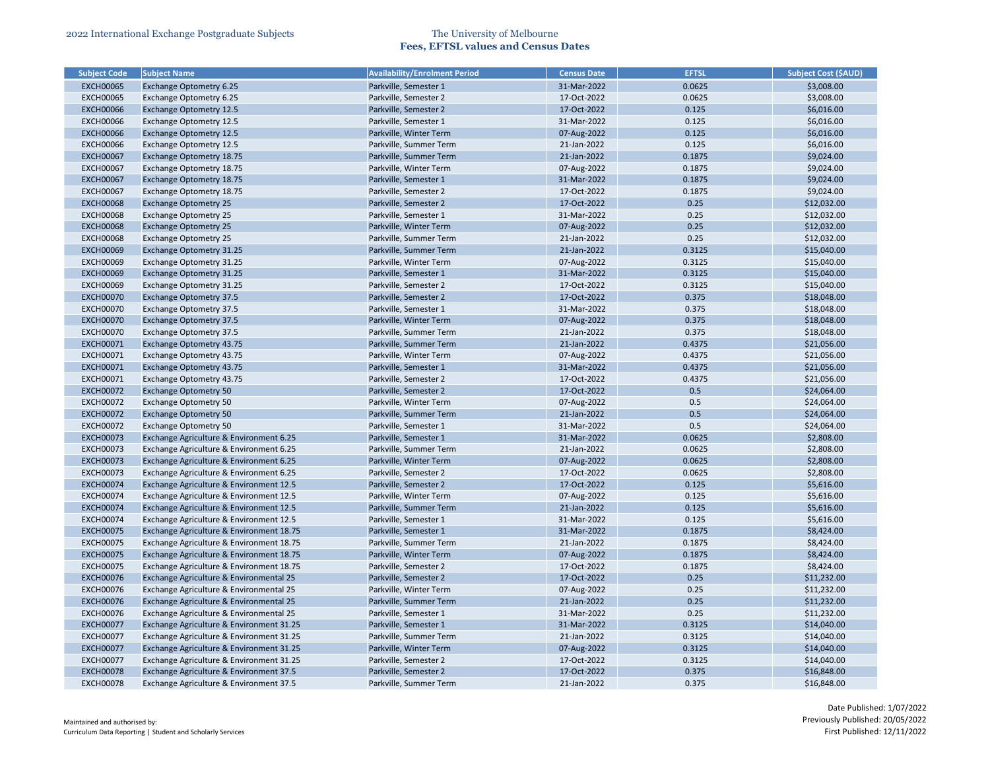| <b>Subject Code</b> | <b>Subject Name</b>                      | <b>Availability/Enrolment Period</b> | <b>Census Date</b> | <b>EFTSL</b> | <b>Subject Cost (\$AUD)</b> |
|---------------------|------------------------------------------|--------------------------------------|--------------------|--------------|-----------------------------|
| <b>EXCH00065</b>    | Exchange Optometry 6.25                  | Parkville, Semester 1                | 31-Mar-2022        | 0.0625       | \$3,008.00                  |
| <b>EXCH00065</b>    | Exchange Optometry 6.25                  | Parkville, Semester 2                | 17-Oct-2022        | 0.0625       | \$3,008.00                  |
| <b>EXCH00066</b>    | <b>Exchange Optometry 12.5</b>           | Parkville, Semester 2                | 17-Oct-2022        | 0.125        | \$6,016.00                  |
| <b>EXCH00066</b>    | <b>Exchange Optometry 12.5</b>           | Parkville, Semester 1                | 31-Mar-2022        | 0.125        | \$6,016.00                  |
| <b>EXCH00066</b>    | <b>Exchange Optometry 12.5</b>           | Parkville, Winter Term               | 07-Aug-2022        | 0.125        | \$6,016.00                  |
| <b>EXCH00066</b>    | <b>Exchange Optometry 12.5</b>           | Parkville, Summer Term               | 21-Jan-2022        | 0.125        | \$6,016.00                  |
| <b>EXCH00067</b>    | Exchange Optometry 18.75                 | Parkville, Summer Term               | 21-Jan-2022        | 0.1875       | \$9,024.00                  |
| <b>EXCH00067</b>    | Exchange Optometry 18.75                 | Parkville, Winter Term               | 07-Aug-2022        | 0.1875       | \$9,024.00                  |
| <b>EXCH00067</b>    | Exchange Optometry 18.75                 | Parkville, Semester 1                | 31-Mar-2022        | 0.1875       | \$9,024.00                  |
| <b>EXCH00067</b>    | Exchange Optometry 18.75                 | Parkville, Semester 2                | 17-Oct-2022        | 0.1875       | \$9,024.00                  |
| <b>EXCH00068</b>    | <b>Exchange Optometry 25</b>             | Parkville, Semester 2                | 17-Oct-2022        | 0.25         | \$12,032.00                 |
| <b>EXCH00068</b>    | <b>Exchange Optometry 25</b>             | Parkville, Semester 1                | 31-Mar-2022        | 0.25         | \$12,032.00                 |
| <b>EXCH00068</b>    | <b>Exchange Optometry 25</b>             | Parkville, Winter Term               | 07-Aug-2022        | 0.25         | \$12,032.00                 |
| <b>EXCH00068</b>    | <b>Exchange Optometry 25</b>             | Parkville, Summer Term               | 21-Jan-2022        | 0.25         | \$12,032.00                 |
| <b>EXCH00069</b>    | Exchange Optometry 31.25                 | Parkville, Summer Term               | 21-Jan-2022        | 0.3125       | \$15,040.00                 |
| <b>EXCH00069</b>    | Exchange Optometry 31.25                 | Parkville, Winter Term               | 07-Aug-2022        | 0.3125       | \$15,040.00                 |
| <b>EXCH00069</b>    | Exchange Optometry 31.25                 | Parkville, Semester 1                | 31-Mar-2022        | 0.3125       | \$15,040.00                 |
| <b>EXCH00069</b>    | Exchange Optometry 31.25                 | Parkville, Semester 2                | 17-Oct-2022        | 0.3125       | \$15,040.00                 |
| <b>EXCH00070</b>    | <b>Exchange Optometry 37.5</b>           | Parkville, Semester 2                | 17-Oct-2022        | 0.375        | \$18,048.00                 |
| <b>EXCH00070</b>    | <b>Exchange Optometry 37.5</b>           | Parkville, Semester 1                | 31-Mar-2022        | 0.375        | \$18,048.00                 |
| <b>EXCH00070</b>    | <b>Exchange Optometry 37.5</b>           | Parkville, Winter Term               | 07-Aug-2022        | 0.375        | \$18,048.00                 |
| <b>EXCH00070</b>    | <b>Exchange Optometry 37.5</b>           | Parkville, Summer Term               | 21-Jan-2022        | 0.375        | \$18,048.00                 |
| <b>EXCH00071</b>    | Exchange Optometry 43.75                 | Parkville, Summer Term               | 21-Jan-2022        | 0.4375       | \$21,056.00                 |
| <b>EXCH00071</b>    | Exchange Optometry 43.75                 | Parkville, Winter Term               | 07-Aug-2022        | 0.4375       | \$21,056.00                 |
| <b>EXCH00071</b>    | <b>Exchange Optometry 43.75</b>          | Parkville, Semester 1                | 31-Mar-2022        | 0.4375       | \$21,056.00                 |
| <b>EXCH00071</b>    | Exchange Optometry 43.75                 | Parkville, Semester 2                | 17-Oct-2022        | 0.4375       | \$21,056.00                 |
| <b>EXCH00072</b>    | <b>Exchange Optometry 50</b>             | Parkville, Semester 2                | 17-Oct-2022        | 0.5          | \$24,064.00                 |
| <b>EXCH00072</b>    | <b>Exchange Optometry 50</b>             | Parkville, Winter Term               | 07-Aug-2022        | 0.5          | \$24,064.00                 |
| <b>EXCH00072</b>    | <b>Exchange Optometry 50</b>             | Parkville, Summer Term               | 21-Jan-2022        | 0.5          | \$24,064.00                 |
| <b>EXCH00072</b>    | <b>Exchange Optometry 50</b>             | Parkville, Semester 1                | 31-Mar-2022        | 0.5          | \$24,064.00                 |
| <b>EXCH00073</b>    | Exchange Agriculture & Environment 6.25  | Parkville, Semester 1                | 31-Mar-2022        | 0.0625       | \$2,808.00                  |
| <b>EXCH00073</b>    | Exchange Agriculture & Environment 6.25  | Parkville, Summer Term               | 21-Jan-2022        | 0.0625       | \$2,808.00                  |
| <b>EXCH00073</b>    | Exchange Agriculture & Environment 6.25  | Parkville, Winter Term               | 07-Aug-2022        | 0.0625       | \$2,808.00                  |
| <b>EXCH00073</b>    | Exchange Agriculture & Environment 6.25  | Parkville, Semester 2                | 17-Oct-2022        | 0.0625       | \$2,808.00                  |
| <b>EXCH00074</b>    | Exchange Agriculture & Environment 12.5  | Parkville, Semester 2                | 17-Oct-2022        | 0.125        | \$5,616.00                  |
| <b>EXCH00074</b>    | Exchange Agriculture & Environment 12.5  | Parkville, Winter Term               | 07-Aug-2022        | 0.125        | \$5,616.00                  |
| <b>EXCH00074</b>    | Exchange Agriculture & Environment 12.5  | Parkville, Summer Term               | 21-Jan-2022        | 0.125        | \$5,616.00                  |
| <b>EXCH00074</b>    | Exchange Agriculture & Environment 12.5  | Parkville, Semester 1                | 31-Mar-2022        | 0.125        | \$5,616.00                  |
| <b>EXCH00075</b>    | Exchange Agriculture & Environment 18.75 | Parkville, Semester 1                | 31-Mar-2022        | 0.1875       | \$8,424.00                  |
| <b>EXCH00075</b>    | Exchange Agriculture & Environment 18.75 | Parkville, Summer Term               | 21-Jan-2022        | 0.1875       | \$8,424.00                  |
| <b>EXCH00075</b>    | Exchange Agriculture & Environment 18.75 | Parkville, Winter Term               | 07-Aug-2022        | 0.1875       | \$8,424.00                  |
| <b>EXCH00075</b>    | Exchange Agriculture & Environment 18.75 | Parkville, Semester 2                | 17-Oct-2022        | 0.1875       | \$8,424.00                  |
| <b>EXCH00076</b>    | Exchange Agriculture & Environmental 25  | Parkville, Semester 2                | 17-Oct-2022        | 0.25         | \$11,232.00                 |
|                     |                                          |                                      |                    | 0.25         |                             |
| <b>EXCH00076</b>    | Exchange Agriculture & Environmental 25  | Parkville, Winter Term               | 07-Aug-2022        |              | \$11,232.00                 |
| <b>EXCH00076</b>    | Exchange Agriculture & Environmental 25  | Parkville, Summer Term               | 21-Jan-2022        | 0.25         | \$11,232.00                 |
| <b>EXCH00076</b>    | Exchange Agriculture & Environmental 25  | Parkville, Semester 1                | 31-Mar-2022        | 0.25         | \$11,232.00                 |
| <b>EXCH00077</b>    | Exchange Agriculture & Environment 31.25 | Parkville, Semester 1                | 31-Mar-2022        | 0.3125       | \$14,040.00                 |
| <b>EXCH00077</b>    | Exchange Agriculture & Environment 31.25 | Parkville, Summer Term               | 21-Jan-2022        | 0.3125       | \$14,040.00                 |
| <b>EXCH00077</b>    | Exchange Agriculture & Environment 31.25 | Parkville, Winter Term               | 07-Aug-2022        | 0.3125       | \$14,040.00                 |
| <b>EXCH00077</b>    | Exchange Agriculture & Environment 31.25 | Parkville, Semester 2                | 17-Oct-2022        | 0.3125       | \$14,040.00                 |
| <b>EXCH00078</b>    | Exchange Agriculture & Environment 37.5  | Parkville, Semester 2                | 17-Oct-2022        | 0.375        | \$16,848.00                 |
| <b>EXCH00078</b>    | Exchange Agriculture & Environment 37.5  | Parkville, Summer Term               | 21-Jan-2022        | 0.375        | \$16,848.00                 |

| <b>Subject Cost (\$AUD)</b> |
|-----------------------------|
| \$3,008.00                  |
| \$3,008.00                  |
| \$6,016.00                  |
| \$6,016.00                  |
| \$6,016.00                  |
| \$6,016.00                  |
| \$9,024.00                  |
| \$9,024.00                  |
| \$9,024.00                  |
| \$9,024.00                  |
| \$12,032.00                 |
| \$12,032.00                 |
| \$12,032.00                 |
| \$12,032.00                 |
| \$15,040.00                 |
| \$15,040.00                 |
| \$15,040.00                 |
| \$15,040.00                 |
| \$18,048.00                 |
| \$18,048.00                 |
| \$18,048.00                 |
| \$18,048.00                 |
| \$21,056.00                 |
| \$21,056.00                 |
| \$21,056.00                 |
| \$21,056.00                 |
| \$24,064.00                 |
| \$24,064.00                 |
| \$24,064.00                 |
| \$24,064.00                 |
| \$2,808.00                  |
| \$2,808.00                  |
| \$2,808.00                  |
| \$2,808.00                  |
| \$5,616.00                  |
| \$5,616.00                  |
| \$5,616.00                  |
| \$5,616.00                  |
| \$8,424.00                  |
| \$8,424.00                  |
| \$8,424.00                  |
| \$8,424.00                  |
| \$11,232.00                 |
| \$11,232.00                 |
| \$11,232.00                 |
| \$11,232.00                 |
| \$14,040.00                 |
| \$14,040.00                 |
| \$14,040.00                 |
| \$14,040.00                 |
| \$16,848.00                 |
| \$16,848.00                 |
|                             |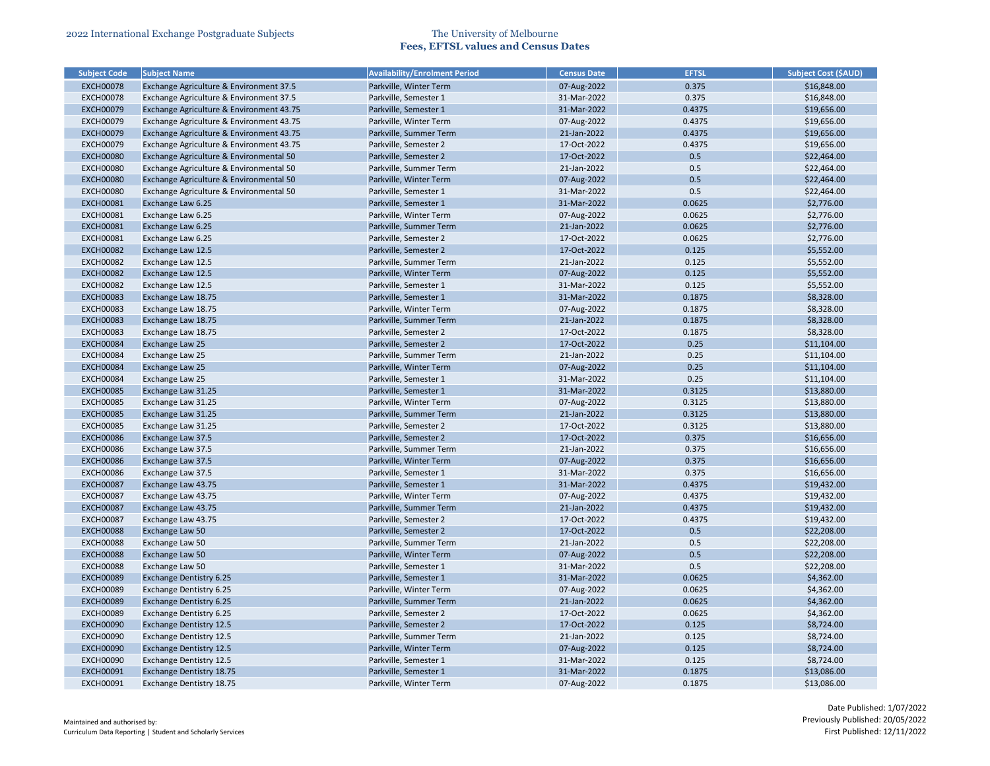| <b>Subject Code</b> | <b>Subject Name</b>                      | <b>Availability/Enrolment Period</b> | <b>Census Date</b> | <b>EFTSL</b> | <b>Subject Cost (\$AUD)</b> |
|---------------------|------------------------------------------|--------------------------------------|--------------------|--------------|-----------------------------|
| <b>EXCH00078</b>    | Exchange Agriculture & Environment 37.5  | Parkville, Winter Term               | 07-Aug-2022        | 0.375        | \$16,848.00                 |
| <b>EXCH00078</b>    | Exchange Agriculture & Environment 37.5  | Parkville, Semester 1                | 31-Mar-2022        | 0.375        | \$16,848.00                 |
| <b>EXCH00079</b>    | Exchange Agriculture & Environment 43.75 | Parkville, Semester 1                | 31-Mar-2022        | 0.4375       | \$19,656.00                 |
| <b>EXCH00079</b>    | Exchange Agriculture & Environment 43.75 | Parkville, Winter Term               | 07-Aug-2022        | 0.4375       | \$19,656.00                 |
| <b>EXCH00079</b>    | Exchange Agriculture & Environment 43.75 | Parkville, Summer Term               | 21-Jan-2022        | 0.4375       | \$19,656.00                 |
| <b>EXCH00079</b>    | Exchange Agriculture & Environment 43.75 | Parkville, Semester 2                | 17-Oct-2022        | 0.4375       | \$19,656.00                 |
| <b>EXCH00080</b>    | Exchange Agriculture & Environmental 50  | Parkville, Semester 2                | 17-Oct-2022        | 0.5          | \$22,464.00                 |
| <b>EXCH00080</b>    | Exchange Agriculture & Environmental 50  | Parkville, Summer Term               | 21-Jan-2022        | 0.5          | \$22,464.00                 |
| <b>EXCH00080</b>    | Exchange Agriculture & Environmental 50  | Parkville, Winter Term               | 07-Aug-2022        | 0.5          | \$22,464.00                 |
| <b>EXCH00080</b>    | Exchange Agriculture & Environmental 50  | Parkville, Semester 1                | 31-Mar-2022        | 0.5          | \$22,464.00                 |
| <b>EXCH00081</b>    | Exchange Law 6.25                        | Parkville, Semester 1                | 31-Mar-2022        | 0.0625       | \$2,776.00                  |
| <b>EXCH00081</b>    | Exchange Law 6.25                        | Parkville, Winter Term               | 07-Aug-2022        | 0.0625       | \$2,776.00                  |
| <b>EXCH00081</b>    | Exchange Law 6.25                        | Parkville, Summer Term               | 21-Jan-2022        | 0.0625       | \$2,776.00                  |
| <b>EXCH00081</b>    | Exchange Law 6.25                        | Parkville, Semester 2                | 17-Oct-2022        | 0.0625       | \$2,776.00                  |
| <b>EXCH00082</b>    | Exchange Law 12.5                        | Parkville, Semester 2                | 17-Oct-2022        | 0.125        | \$5,552.00                  |
| <b>EXCH00082</b>    | Exchange Law 12.5                        | Parkville, Summer Term               | 21-Jan-2022        | 0.125        | \$5,552.00                  |
| <b>EXCH00082</b>    | Exchange Law 12.5                        | Parkville, Winter Term               | 07-Aug-2022        | 0.125        | \$5,552.00                  |
| <b>EXCH00082</b>    | Exchange Law 12.5                        | Parkville, Semester 1                | 31-Mar-2022        | 0.125        | \$5,552.00                  |
| <b>EXCH00083</b>    | Exchange Law 18.75                       | Parkville, Semester 1                | 31-Mar-2022        | 0.1875       | \$8,328.00                  |
| <b>EXCH00083</b>    | Exchange Law 18.75                       | Parkville, Winter Term               | 07-Aug-2022        | 0.1875       | \$8,328.00                  |
| <b>EXCH00083</b>    | Exchange Law 18.75                       | Parkville, Summer Term               | 21-Jan-2022        | 0.1875       | \$8,328.00                  |
| <b>EXCH00083</b>    | Exchange Law 18.75                       | Parkville, Semester 2                | 17-Oct-2022        | 0.1875       | \$8,328.00                  |
| <b>EXCH00084</b>    | Exchange Law 25                          | Parkville, Semester 2                | 17-Oct-2022        | 0.25         | \$11,104.00                 |
| <b>EXCH00084</b>    | Exchange Law 25                          | Parkville, Summer Term               | 21-Jan-2022        | 0.25         | \$11,104.00                 |
| <b>EXCH00084</b>    | Exchange Law 25                          | Parkville, Winter Term               | 07-Aug-2022        | 0.25         | \$11,104.00                 |
| <b>EXCH00084</b>    | Exchange Law 25                          | Parkville, Semester 1                | 31-Mar-2022        | 0.25         | \$11,104.00                 |
| <b>EXCH00085</b>    | Exchange Law 31.25                       | Parkville, Semester 1                | 31-Mar-2022        | 0.3125       | \$13,880.00                 |
| <b>EXCH00085</b>    | Exchange Law 31.25                       | Parkville, Winter Term               | 07-Aug-2022        | 0.3125       | \$13,880.00                 |
| <b>EXCH00085</b>    | Exchange Law 31.25                       | Parkville, Summer Term               | 21-Jan-2022        | 0.3125       | \$13,880.00                 |
| <b>EXCH00085</b>    | Exchange Law 31.25                       | Parkville, Semester 2                | 17-Oct-2022        | 0.3125       | \$13,880.00                 |
| <b>EXCH00086</b>    | Exchange Law 37.5                        | Parkville, Semester 2                | 17-Oct-2022        | 0.375        | \$16,656.00                 |
| <b>EXCH00086</b>    | Exchange Law 37.5                        | Parkville, Summer Term               | 21-Jan-2022        | 0.375        | \$16,656.00                 |
| <b>EXCH00086</b>    | Exchange Law 37.5                        | Parkville, Winter Term               | 07-Aug-2022        | 0.375        | \$16,656.00                 |
| <b>EXCH00086</b>    | Exchange Law 37.5                        | Parkville, Semester 1                | 31-Mar-2022        | 0.375        | \$16,656.00                 |
| <b>EXCH00087</b>    | Exchange Law 43.75                       | Parkville, Semester 1                | 31-Mar-2022        | 0.4375       | \$19,432.00                 |
| <b>EXCH00087</b>    | Exchange Law 43.75                       | Parkville, Winter Term               | 07-Aug-2022        | 0.4375       | \$19,432.00                 |
| <b>EXCH00087</b>    | Exchange Law 43.75                       | Parkville, Summer Term               | 21-Jan-2022        | 0.4375       | \$19,432.00                 |
| <b>EXCH00087</b>    | Exchange Law 43.75                       | Parkville, Semester 2                | 17-Oct-2022        | 0.4375       | \$19,432.00                 |
| <b>EXCH00088</b>    | Exchange Law 50                          | Parkville, Semester 2                | 17-Oct-2022        | 0.5          | \$22,208.00                 |
| <b>EXCH00088</b>    | Exchange Law 50                          | Parkville, Summer Term               | 21-Jan-2022        | 0.5          | \$22,208.00                 |
| <b>EXCH00088</b>    | Exchange Law 50                          | Parkville, Winter Term               | 07-Aug-2022        | 0.5          | \$22,208.00                 |
| <b>EXCH00088</b>    | Exchange Law 50                          | Parkville, Semester 1                | 31-Mar-2022        | 0.5          | \$22,208.00                 |
| <b>EXCH00089</b>    | Exchange Dentistry 6.25                  | Parkville, Semester 1                | 31-Mar-2022        | 0.0625       | \$4,362.00                  |
| <b>EXCH00089</b>    | Exchange Dentistry 6.25                  | Parkville, Winter Term               | 07-Aug-2022        | 0.0625       | \$4,362.00                  |
| <b>EXCH00089</b>    | <b>Exchange Dentistry 6.25</b>           | Parkville, Summer Term               | 21-Jan-2022        | 0.0625       | \$4,362.00                  |
| <b>EXCH00089</b>    | Exchange Dentistry 6.25                  | Parkville, Semester 2                | 17-Oct-2022        | 0.0625       | \$4,362.00                  |
| <b>EXCH00090</b>    | <b>Exchange Dentistry 12.5</b>           | Parkville, Semester 2                | 17-Oct-2022        | 0.125        | \$8,724.00                  |
| <b>EXCH00090</b>    | <b>Exchange Dentistry 12.5</b>           | Parkville, Summer Term               | 21-Jan-2022        | 0.125        | \$8,724.00                  |
| <b>EXCH00090</b>    | <b>Exchange Dentistry 12.5</b>           | Parkville, Winter Term               | 07-Aug-2022        | 0.125        | \$8,724.00                  |
| <b>EXCH00090</b>    | Exchange Dentistry 12.5                  | Parkville, Semester 1                | 31-Mar-2022        | 0.125        | \$8,724.00                  |
|                     |                                          |                                      | 31-Mar-2022        | 0.1875       |                             |
| <b>EXCH00091</b>    | Exchange Dentistry 18.75                 | Parkville, Semester 1                |                    |              | \$13,086.00                 |
| <b>EXCH00091</b>    | Exchange Dentistry 18.75                 | Parkville, Winter Term               | 07-Aug-2022        | 0.1875       | \$13,086.00                 |

| <b>Subject Cost (SAUD)</b> |
|----------------------------|
| \$16,848.00                |
| \$16,848.00                |
| \$19,656.00                |
| \$19,656.00                |
| \$19,656.00                |
| \$19,656.00                |
| \$22,464.00                |
| \$22,464.00                |
| \$22,464.00                |
| \$22,464.00                |
| \$2,776.00                 |
| \$2,776.00                 |
| \$2,776.00                 |
| \$2,776.00                 |
| \$5,552.00                 |
| \$5,552.00                 |
| \$5,552.00                 |
| \$5,552.00                 |
| \$8,328.00                 |
| \$8,328.00                 |
| \$8,328.00                 |
| \$8,328.00                 |
| \$11,104.00                |
| \$11,104.00                |
| \$11,104.00                |
| \$11,104.00                |
| \$13,880.00                |
| \$13,880.00                |
| \$13,880.00                |
| \$13,880.00                |
| \$16,656.00                |
| \$16,656.00                |
| \$16,656.00                |
| \$16,656.00                |
| \$19,432.00                |
| \$19,432.00                |
| \$19,432.00                |
| \$19,432.00                |
| \$22,208.00                |
| \$22,208.00                |
| \$22,208.00                |
| \$22,208.00                |
| \$4,362.00                 |
| \$4,362.00                 |
| \$4,362.00                 |
| \$4,362.00                 |
| \$8,724.00                 |
| \$8,724.00                 |
| \$8,724.00                 |
| \$8,724.00                 |
| \$13,086.00                |
|                            |
| \$13,086.00                |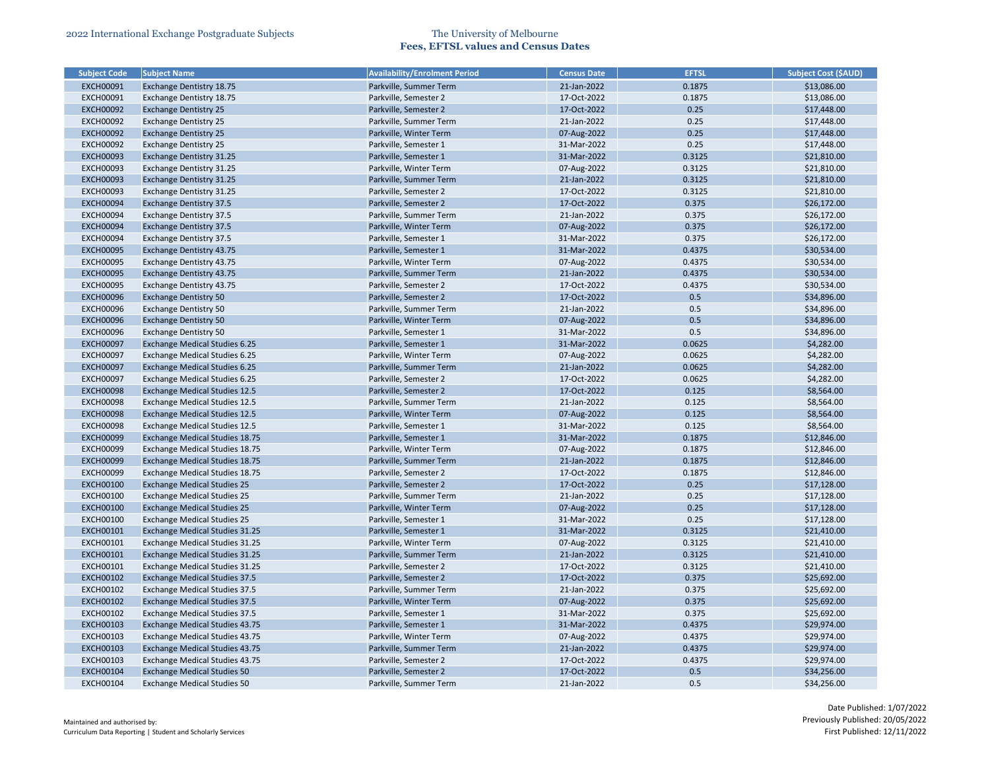| <b>Subject Code</b>                  | <b>Subject Name</b>                                                          | <b>Availability/Enrolment Period</b>           | <b>Census Date</b>         | <b>EFTSL</b>    | <b>Subject Cost (\$AUD)</b> |
|--------------------------------------|------------------------------------------------------------------------------|------------------------------------------------|----------------------------|-----------------|-----------------------------|
| <b>EXCH00091</b>                     | Exchange Dentistry 18.75                                                     | Parkville, Summer Term                         | 21-Jan-2022                | 0.1875          | \$13,086.00                 |
| <b>EXCH00091</b>                     | Exchange Dentistry 18.75                                                     | Parkville, Semester 2                          | 17-Oct-2022                | 0.1875          | \$13,086.00                 |
| <b>EXCH00092</b>                     | <b>Exchange Dentistry 25</b>                                                 | Parkville, Semester 2                          | 17-Oct-2022                | 0.25            | \$17,448.00                 |
| <b>EXCH00092</b>                     | <b>Exchange Dentistry 25</b>                                                 | Parkville, Summer Term                         | 21-Jan-2022                | 0.25            | \$17,448.00                 |
| <b>EXCH00092</b>                     | <b>Exchange Dentistry 25</b>                                                 | Parkville, Winter Term                         | 07-Aug-2022                | 0.25            | \$17,448.00                 |
| <b>EXCH00092</b>                     | <b>Exchange Dentistry 25</b>                                                 | Parkville, Semester 1                          | 31-Mar-2022                | 0.25            | \$17,448.00                 |
| <b>EXCH00093</b>                     | Exchange Dentistry 31.25                                                     | Parkville, Semester 1                          | 31-Mar-2022                | 0.3125          | \$21,810.00                 |
| <b>EXCH00093</b>                     | Exchange Dentistry 31.25                                                     | Parkville, Winter Term                         | 07-Aug-2022                | 0.3125          | \$21,810.00                 |
| <b>EXCH00093</b>                     | <b>Exchange Dentistry 31.25</b>                                              | Parkville, Summer Term                         | 21-Jan-2022                | 0.3125          | \$21,810.00                 |
| <b>EXCH00093</b>                     | Exchange Dentistry 31.25                                                     | Parkville, Semester 2                          | 17-Oct-2022                | 0.3125          | \$21,810.00                 |
| <b>EXCH00094</b>                     | <b>Exchange Dentistry 37.5</b>                                               | Parkville, Semester 2                          | 17-Oct-2022                | 0.375           | \$26,172.00                 |
| <b>EXCH00094</b>                     | <b>Exchange Dentistry 37.5</b>                                               | Parkville, Summer Term                         | 21-Jan-2022                | 0.375           | \$26,172.00                 |
| <b>EXCH00094</b>                     | <b>Exchange Dentistry 37.5</b>                                               | Parkville, Winter Term                         | 07-Aug-2022                | 0.375           | \$26,172.00                 |
| <b>EXCH00094</b>                     | <b>Exchange Dentistry 37.5</b>                                               | Parkville, Semester 1                          | 31-Mar-2022                | 0.375           | \$26,172.00                 |
| <b>EXCH00095</b>                     | Exchange Dentistry 43.75                                                     | Parkville, Semester 1                          | 31-Mar-2022                | 0.4375          | \$30,534.00                 |
| <b>EXCH00095</b>                     | Exchange Dentistry 43.75                                                     | Parkville, Winter Term                         | 07-Aug-2022                | 0.4375          | \$30,534.00                 |
| <b>EXCH00095</b>                     | Exchange Dentistry 43.75                                                     | Parkville, Summer Term                         | 21-Jan-2022                | 0.4375          | \$30,534.00                 |
| <b>EXCH00095</b>                     | Exchange Dentistry 43.75                                                     | Parkville, Semester 2                          | 17-Oct-2022                | 0.4375          | \$30,534.00                 |
| <b>EXCH00096</b>                     | <b>Exchange Dentistry 50</b>                                                 | Parkville, Semester 2                          | 17-Oct-2022                | 0.5             | \$34,896.00                 |
| <b>EXCH00096</b>                     | <b>Exchange Dentistry 50</b>                                                 | Parkville, Summer Term                         | 21-Jan-2022                | 0.5             | \$34,896.00                 |
|                                      |                                                                              |                                                |                            | 0.5             |                             |
| <b>EXCH00096</b>                     | <b>Exchange Dentistry 50</b>                                                 | Parkville, Winter Term                         | 07-Aug-2022                | 0.5             | \$34,896.00                 |
| <b>EXCH00096</b>                     | <b>Exchange Dentistry 50</b>                                                 | Parkville, Semester 1                          | 31-Mar-2022                |                 | \$34,896.00                 |
| <b>EXCH00097</b>                     | <b>Exchange Medical Studies 6.25</b>                                         | Parkville, Semester 1                          | 31-Mar-2022                | 0.0625          | \$4,282.00                  |
| <b>EXCH00097</b>                     | <b>Exchange Medical Studies 6.25</b>                                         | Parkville, Winter Term                         | 07-Aug-2022                | 0.0625          | \$4,282.00                  |
| <b>EXCH00097</b>                     | <b>Exchange Medical Studies 6.25</b>                                         | Parkville, Summer Term                         | 21-Jan-2022                | 0.0625          | \$4,282.00                  |
| <b>EXCH00097</b>                     | <b>Exchange Medical Studies 6.25</b>                                         | Parkville, Semester 2                          | 17-Oct-2022<br>17-Oct-2022 | 0.0625<br>0.125 | \$4,282.00                  |
| <b>EXCH00098</b>                     | <b>Exchange Medical Studies 12.5</b>                                         | Parkville, Semester 2                          | 21-Jan-2022                |                 | \$8,564.00                  |
| <b>EXCH00098</b>                     | <b>Exchange Medical Studies 12.5</b>                                         | Parkville, Summer Term                         |                            | 0.125           | \$8,564.00                  |
| <b>EXCH00098</b>                     | <b>Exchange Medical Studies 12.5</b><br><b>Exchange Medical Studies 12.5</b> | Parkville, Winter Term                         | 07-Aug-2022<br>31-Mar-2022 | 0.125<br>0.125  | \$8,564.00                  |
| <b>EXCH00098</b><br><b>EXCH00099</b> | <b>Exchange Medical Studies 18.75</b>                                        | Parkville, Semester 1<br>Parkville, Semester 1 | 31-Mar-2022                | 0.1875          | \$8,564.00<br>\$12,846.00   |
|                                      |                                                                              |                                                |                            |                 |                             |
| <b>EXCH00099</b>                     | Exchange Medical Studies 18.75                                               | Parkville, Winter Term                         | 07-Aug-2022                | 0.1875          | \$12,846.00                 |
| <b>EXCH00099</b>                     | Exchange Medical Studies 18.75                                               | Parkville, Summer Term                         | 21-Jan-2022                | 0.1875          | \$12,846.00                 |
| <b>EXCH00099</b>                     | Exchange Medical Studies 18.75                                               | Parkville, Semester 2                          | 17-Oct-2022                | 0.1875          | \$12,846.00                 |
| <b>EXCH00100</b>                     | <b>Exchange Medical Studies 25</b>                                           | Parkville, Semester 2                          | 17-Oct-2022                | 0.25            | \$17,128.00                 |
| <b>EXCH00100</b>                     | <b>Exchange Medical Studies 25</b>                                           | Parkville, Summer Term                         | 21-Jan-2022                | 0.25            | \$17,128.00                 |
| <b>EXCH00100</b>                     | <b>Exchange Medical Studies 25</b>                                           | Parkville, Winter Term                         | 07-Aug-2022                | 0.25            | \$17,128.00                 |
| <b>EXCH00100</b>                     | <b>Exchange Medical Studies 25</b>                                           | Parkville, Semester 1                          | 31-Mar-2022                | 0.25            | \$17,128.00                 |
| <b>EXCH00101</b>                     | <b>Exchange Medical Studies 31.25</b>                                        | Parkville, Semester 1                          | 31-Mar-2022                | 0.3125          | \$21,410.00                 |
| <b>EXCH00101</b>                     | Exchange Medical Studies 31.25                                               | Parkville, Winter Term                         | 07-Aug-2022                | 0.3125          | \$21,410.00                 |
| <b>EXCH00101</b>                     | Exchange Medical Studies 31.25                                               | Parkville, Summer Term                         | 21-Jan-2022                | 0.3125          | \$21,410.00                 |
| <b>EXCH00101</b>                     | Exchange Medical Studies 31.25                                               | Parkville, Semester 2                          | 17-Oct-2022                | 0.3125          | \$21,410.00                 |
| <b>EXCH00102</b>                     | <b>Exchange Medical Studies 37.5</b>                                         | Parkville, Semester 2                          | 17-Oct-2022                | 0.375           | \$25,692.00                 |
| <b>EXCH00102</b>                     | <b>Exchange Medical Studies 37.5</b>                                         | Parkville, Summer Term                         | 21-Jan-2022                | 0.375           | \$25,692.00                 |
| <b>EXCH00102</b>                     | <b>Exchange Medical Studies 37.5</b>                                         | Parkville, Winter Term                         | 07-Aug-2022                | 0.375           | \$25,692.00                 |
| EXCH00102                            | <b>Exchange Medical Studies 37.5</b>                                         | Parkville, Semester 1                          | 31-Mar-2022                | 0.375           | \$25,692.00                 |
| <b>EXCH00103</b>                     | <b>Exchange Medical Studies 43.75</b>                                        | Parkville, Semester 1                          | 31-Mar-2022                | 0.4375          | \$29,974.00                 |
| <b>EXCH00103</b>                     | Exchange Medical Studies 43.75                                               | Parkville, Winter Term                         | 07-Aug-2022                | 0.4375          | \$29,974.00                 |
| <b>EXCH00103</b>                     | <b>Exchange Medical Studies 43.75</b>                                        | Parkville, Summer Term                         | 21-Jan-2022                | 0.4375          | \$29,974.00                 |
| <b>EXCH00103</b>                     | Exchange Medical Studies 43.75                                               | Parkville, Semester 2                          | 17-Oct-2022                | 0.4375          | \$29,974.00                 |
| <b>EXCH00104</b>                     | <b>Exchange Medical Studies 50</b>                                           | Parkville, Semester 2                          | 17-Oct-2022                | 0.5             | \$34,256.00                 |
| <b>EXCH00104</b>                     | <b>Exchange Medical Studies 50</b>                                           | Parkville, Summer Term                         | 21-Jan-2022                | 0.5             | \$34,256.00                 |

| <b>Subject Cost (\$AUD)</b> |
|-----------------------------|
| \$13,086.00                 |
| \$13,086.00                 |
| \$17,448.00                 |
| \$17,448.00                 |
| \$17,448.00                 |
| \$17,448.00                 |
| \$21,810.00                 |
| \$21,810.00                 |
| \$21,810.00                 |
| \$21,810.00                 |
| \$26,172.00                 |
| \$26,172.00                 |
|                             |
| \$26,172.00                 |
| \$26,172.00                 |
| \$30,534.00                 |
| \$30,534.00                 |
| \$30,534.00                 |
| \$30,534.00                 |
| \$34,896.00                 |
| \$34,896.00                 |
| \$34,896.00                 |
| \$34,896.00                 |
| \$4,282.00                  |
| \$4,282.00                  |
| \$4,282.00                  |
| \$4,282.00                  |
| \$8,564.00                  |
| \$8,564.00                  |
| \$8,564.00                  |
| \$8,564.00                  |
| \$12,846.00                 |
| \$12,846.00                 |
| \$12,846.00                 |
| \$12,846.00                 |
| \$17,128.00                 |
| \$17,128.00                 |
| \$17,128.00                 |
| \$17,128.00                 |
| \$21,410.00                 |
| \$21,410.00                 |
| \$21,410.00                 |
| \$21,410.00                 |
| \$25,692.00                 |
| \$25,692.00                 |
| \$25,692.00                 |
| \$25,692.00                 |
|                             |
| \$29,974.00                 |
| \$29,974.00                 |
| \$29,974.00                 |
| \$29,974.00                 |
| \$34,256.00                 |
| \$34,256.00                 |
|                             |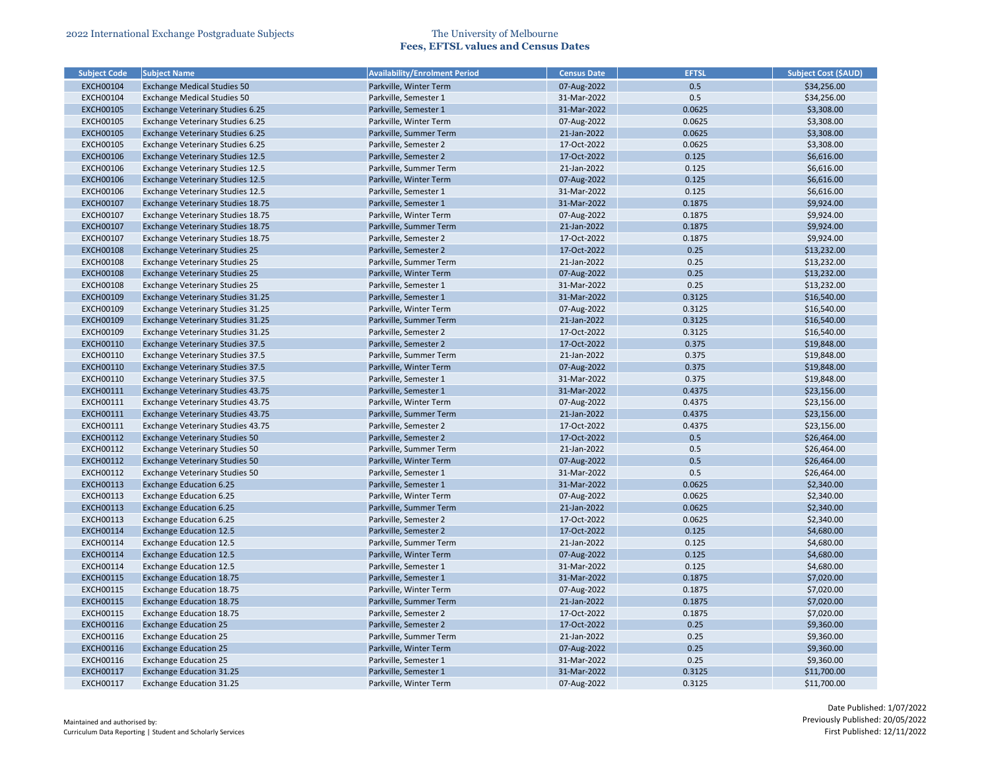| <b>Subject Code</b> | <b>Subject Name</b>                      | <b>Availability/Enrolment Period</b> | <b>Census Date</b> | <b>EFTSL</b> | <b>Subject Cost (\$AUD)</b> |
|---------------------|------------------------------------------|--------------------------------------|--------------------|--------------|-----------------------------|
| <b>EXCH00104</b>    | <b>Exchange Medical Studies 50</b>       | Parkville, Winter Term               | 07-Aug-2022        | 0.5          | \$34,256.00                 |
| <b>EXCH00104</b>    | <b>Exchange Medical Studies 50</b>       | Parkville, Semester 1                | 31-Mar-2022        | 0.5          | \$34,256.00                 |
| <b>EXCH00105</b>    | <b>Exchange Veterinary Studies 6.25</b>  | Parkville, Semester 1                | 31-Mar-2022        | 0.0625       | \$3,308.00                  |
| <b>EXCH00105</b>    | Exchange Veterinary Studies 6.25         | Parkville, Winter Term               | 07-Aug-2022        | 0.0625       | \$3,308.00                  |
| <b>EXCH00105</b>    | <b>Exchange Veterinary Studies 6.25</b>  | Parkville, Summer Term               | 21-Jan-2022        | 0.0625       | \$3,308.00                  |
| <b>EXCH00105</b>    | <b>Exchange Veterinary Studies 6.25</b>  | Parkville, Semester 2                | 17-Oct-2022        | 0.0625       | \$3,308.00                  |
| <b>EXCH00106</b>    | <b>Exchange Veterinary Studies 12.5</b>  | Parkville, Semester 2                | 17-Oct-2022        | 0.125        | \$6,616.00                  |
| <b>EXCH00106</b>    | <b>Exchange Veterinary Studies 12.5</b>  | Parkville, Summer Term               | 21-Jan-2022        | 0.125        | \$6,616.00                  |
| <b>EXCH00106</b>    | <b>Exchange Veterinary Studies 12.5</b>  | Parkville, Winter Term               | 07-Aug-2022        | 0.125        | \$6,616.00                  |
| <b>EXCH00106</b>    | <b>Exchange Veterinary Studies 12.5</b>  | Parkville, Semester 1                | 31-Mar-2022        | 0.125        | \$6,616.00                  |
| <b>EXCH00107</b>    | <b>Exchange Veterinary Studies 18.75</b> | Parkville, Semester 1                | 31-Mar-2022        | 0.1875       | \$9,924.00                  |
| <b>EXCH00107</b>    | <b>Exchange Veterinary Studies 18.75</b> | Parkville, Winter Term               | 07-Aug-2022        | 0.1875       | \$9,924.00                  |
| <b>EXCH00107</b>    | <b>Exchange Veterinary Studies 18.75</b> | Parkville, Summer Term               | 21-Jan-2022        | 0.1875       | \$9,924.00                  |
| <b>EXCH00107</b>    | Exchange Veterinary Studies 18.75        | Parkville, Semester 2                | 17-Oct-2022        | 0.1875       | \$9,924.00                  |
| <b>EXCH00108</b>    | <b>Exchange Veterinary Studies 25</b>    | Parkville, Semester 2                | 17-Oct-2022        | 0.25         | \$13,232.00                 |
| <b>EXCH00108</b>    | <b>Exchange Veterinary Studies 25</b>    | Parkville, Summer Term               | 21-Jan-2022        | 0.25         | \$13,232.00                 |
| <b>EXCH00108</b>    | <b>Exchange Veterinary Studies 25</b>    | Parkville, Winter Term               | 07-Aug-2022        | 0.25         | \$13,232.00                 |
| <b>EXCH00108</b>    | <b>Exchange Veterinary Studies 25</b>    | Parkville, Semester 1                | 31-Mar-2022        | 0.25         | \$13,232.00                 |
| <b>EXCH00109</b>    | <b>Exchange Veterinary Studies 31.25</b> | Parkville, Semester 1                | 31-Mar-2022        | 0.3125       | \$16,540.00                 |
| <b>EXCH00109</b>    | Exchange Veterinary Studies 31.25        | Parkville, Winter Term               | 07-Aug-2022        | 0.3125       | \$16,540.00                 |
| <b>EXCH00109</b>    | <b>Exchange Veterinary Studies 31.25</b> | Parkville, Summer Term               | 21-Jan-2022        | 0.3125       | \$16,540.00                 |
| <b>EXCH00109</b>    | Exchange Veterinary Studies 31.25        | Parkville, Semester 2                | 17-Oct-2022        | 0.3125       | \$16,540.00                 |
| <b>EXCH00110</b>    | <b>Exchange Veterinary Studies 37.5</b>  | Parkville, Semester 2                | 17-Oct-2022        | 0.375        | \$19,848.00                 |
| <b>EXCH00110</b>    | <b>Exchange Veterinary Studies 37.5</b>  | Parkville, Summer Term               | 21-Jan-2022        | 0.375        | \$19,848.00                 |
| <b>EXCH00110</b>    | <b>Exchange Veterinary Studies 37.5</b>  | Parkville, Winter Term               | 07-Aug-2022        | 0.375        | \$19,848.00                 |
| <b>EXCH00110</b>    | <b>Exchange Veterinary Studies 37.5</b>  | Parkville, Semester 1                | 31-Mar-2022        | 0.375        | \$19,848.00                 |
| <b>EXCH00111</b>    | <b>Exchange Veterinary Studies 43.75</b> | Parkville, Semester 1                | 31-Mar-2022        | 0.4375       | \$23,156.00                 |
| EXCH00111           | Exchange Veterinary Studies 43.75        | Parkville, Winter Term               | 07-Aug-2022        | 0.4375       | \$23,156.00                 |
| <b>EXCH00111</b>    | <b>Exchange Veterinary Studies 43.75</b> | Parkville, Summer Term               | 21-Jan-2022        | 0.4375       | \$23,156.00                 |
| <b>EXCH00111</b>    | Exchange Veterinary Studies 43.75        | Parkville, Semester 2                | 17-Oct-2022        | 0.4375       | \$23,156.00                 |
| EXCH00112           | Exchange Veterinary Studies 50           | Parkville, Semester 2                | 17-Oct-2022        | 0.5          | \$26,464.00                 |
| EXCH00112           | Exchange Veterinary Studies 50           | Parkville, Summer Term               | 21-Jan-2022        | 0.5          | \$26,464.00                 |
| <b>EXCH00112</b>    | <b>Exchange Veterinary Studies 50</b>    | Parkville, Winter Term               | 07-Aug-2022        | 0.5          | \$26,464.00                 |
| EXCH00112           | <b>Exchange Veterinary Studies 50</b>    | Parkville, Semester 1                | 31-Mar-2022        | 0.5          | \$26,464.00                 |
| <b>EXCH00113</b>    | <b>Exchange Education 6.25</b>           | Parkville, Semester 1                | 31-Mar-2022        | 0.0625       | \$2,340.00                  |
| <b>EXCH00113</b>    | <b>Exchange Education 6.25</b>           | Parkville, Winter Term               | 07-Aug-2022        | 0.0625       | \$2,340.00                  |
| <b>EXCH00113</b>    | <b>Exchange Education 6.25</b>           | Parkville, Summer Term               | 21-Jan-2022        | 0.0625       | \$2,340.00                  |
| <b>EXCH00113</b>    | <b>Exchange Education 6.25</b>           | Parkville, Semester 2                | 17-Oct-2022        | 0.0625       | \$2,340.00                  |
| <b>EXCH00114</b>    | <b>Exchange Education 12.5</b>           | Parkville, Semester 2                | 17-Oct-2022        | 0.125        | \$4,680.00                  |
| <b>EXCH00114</b>    | <b>Exchange Education 12.5</b>           | Parkville, Summer Term               | 21-Jan-2022        | 0.125        | \$4,680.00                  |
| <b>EXCH00114</b>    | <b>Exchange Education 12.5</b>           | Parkville, Winter Term               | 07-Aug-2022        | 0.125        | \$4,680.00                  |
| <b>EXCH00114</b>    | <b>Exchange Education 12.5</b>           | Parkville, Semester 1                | 31-Mar-2022        | 0.125        | \$4,680.00                  |
| <b>EXCH00115</b>    | <b>Exchange Education 18.75</b>          | Parkville, Semester 1                | 31-Mar-2022        | 0.1875       | \$7,020.00                  |
| <b>EXCH00115</b>    | <b>Exchange Education 18.75</b>          | Parkville, Winter Term               | 07-Aug-2022        | 0.1875       | \$7,020.00                  |
| <b>EXCH00115</b>    | <b>Exchange Education 18.75</b>          | Parkville, Summer Term               | 21-Jan-2022        | 0.1875       | \$7,020.00                  |
| <b>EXCH00115</b>    | <b>Exchange Education 18.75</b>          | Parkville, Semester 2                | 17-Oct-2022        | 0.1875       | \$7,020.00                  |
| <b>EXCH00116</b>    | <b>Exchange Education 25</b>             | Parkville, Semester 2                | 17-Oct-2022        | 0.25         | \$9,360.00                  |
| <b>EXCH00116</b>    | <b>Exchange Education 25</b>             | Parkville, Summer Term               | 21-Jan-2022        | 0.25         | \$9,360.00                  |
| <b>EXCH00116</b>    | <b>Exchange Education 25</b>             | Parkville, Winter Term               | 07-Aug-2022        | 0.25         | \$9,360.00                  |
| <b>EXCH00116</b>    | <b>Exchange Education 25</b>             | Parkville, Semester 1                | 31-Mar-2022        | 0.25         | \$9,360.00                  |
| <b>EXCH00117</b>    | <b>Exchange Education 31.25</b>          | Parkville, Semester 1                | 31-Mar-2022        | 0.3125       | \$11,700.00                 |
|                     |                                          |                                      |                    |              |                             |
| <b>EXCH00117</b>    | Exchange Education 31.25                 | Parkville, Winter Term               | 07-Aug-2022        | 0.3125       | \$11,700.00                 |

| <b>Subject Cost (\$AUD)</b> |
|-----------------------------|
| \$34,256.00                 |
| \$34,256.00                 |
| \$3,308.00                  |
| \$3,308.00                  |
| \$3,308.00                  |
| \$3,308.00                  |
| \$6,616.00                  |
| \$6,616.00                  |
| \$6,616.00                  |
| \$6,616.00                  |
| \$9,924.00                  |
| \$9,924.00                  |
| \$9,924.00                  |
| \$9,924.00                  |
| \$13,232.00                 |
| \$13,232.00                 |
| \$13,232.00                 |
| \$13,232.00                 |
| \$16,540.00                 |
| \$16,540.00                 |
|                             |
| \$16,540.00                 |
| \$16,540.00                 |
| \$19,848.00                 |
| \$19,848.00                 |
| \$19,848.00                 |
| \$19,848.00<br>\$23,156.00  |
|                             |
| \$23,156.00                 |
| \$23,156.00<br>\$23,156.00  |
| \$26,464.00                 |
|                             |
| \$26,464.00<br>\$26,464.00  |
|                             |
| \$26,464.00                 |
| \$2,340.00                  |
| \$2,340.00                  |
| \$2,340.00                  |
| \$2,340.00                  |
| \$4,680.00                  |
| \$4,680.00                  |
| \$4,680.00                  |
| \$4,680.00                  |
| \$7,020.00                  |
| \$7,020.00                  |
| \$7,020.00                  |
| \$7,020.00                  |
| \$9,360.00                  |
| \$9,360.00                  |
| \$9,360.00                  |
| \$9,360.00                  |
| \$11,700.00                 |
| \$11,700.00                 |
|                             |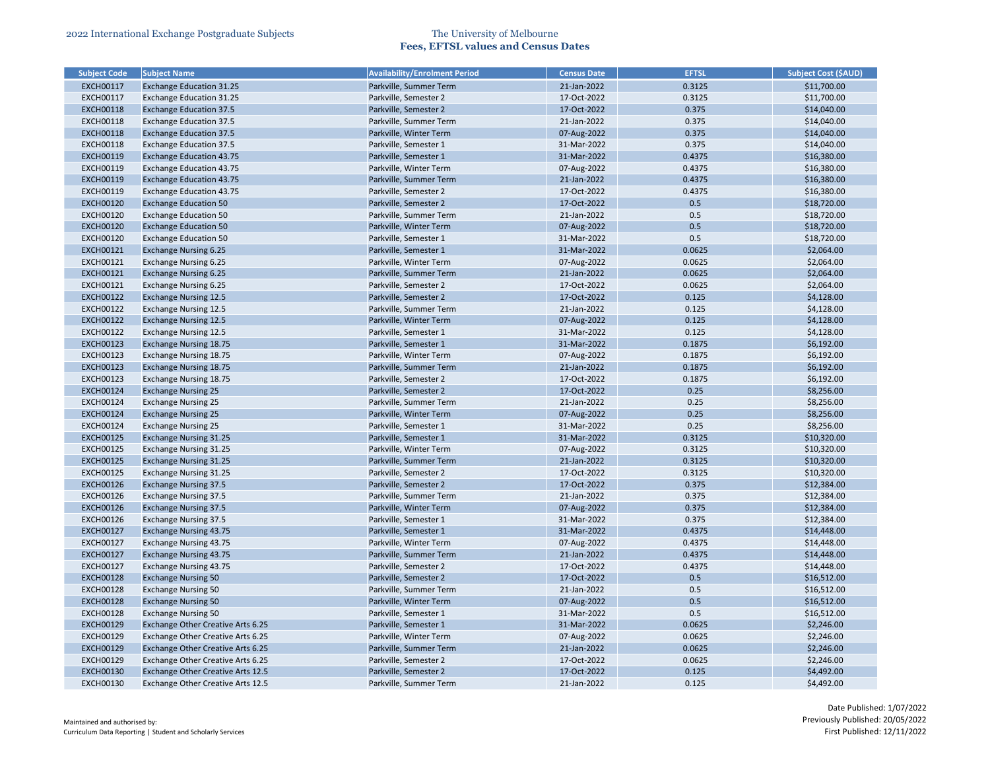| <b>Subject Code</b> | <b>Subject Name</b>               | <b>Availability/Enrolment Period</b>           | <b>Census Date</b>         | <b>EFTSL</b> | <b>Subject Cost (\$AUD)</b> |
|---------------------|-----------------------------------|------------------------------------------------|----------------------------|--------------|-----------------------------|
| <b>EXCH00117</b>    | <b>Exchange Education 31.25</b>   | Parkville, Summer Term                         | 21-Jan-2022                | 0.3125       | \$11,700.00                 |
| <b>EXCH00117</b>    | <b>Exchange Education 31.25</b>   | Parkville, Semester 2                          | 17-Oct-2022                | 0.3125       | \$11,700.00                 |
| <b>EXCH00118</b>    | <b>Exchange Education 37.5</b>    | Parkville, Semester 2                          | 17-Oct-2022                | 0.375        | \$14,040.00                 |
| <b>EXCH00118</b>    | <b>Exchange Education 37.5</b>    | Parkville, Summer Term                         | 21-Jan-2022                | 0.375        | \$14,040.00                 |
| <b>EXCH00118</b>    | <b>Exchange Education 37.5</b>    | Parkville, Winter Term                         | 07-Aug-2022                | 0.375        | \$14,040.00                 |
| <b>EXCH00118</b>    | <b>Exchange Education 37.5</b>    | Parkville, Semester 1                          | 31-Mar-2022                | 0.375        | \$14,040.00                 |
| <b>EXCH00119</b>    | <b>Exchange Education 43.75</b>   | Parkville, Semester 1                          | 31-Mar-2022                | 0.4375       | \$16,380.00                 |
| EXCH00119           | <b>Exchange Education 43.75</b>   | Parkville, Winter Term                         | 07-Aug-2022                | 0.4375       | \$16,380.00                 |
| <b>EXCH00119</b>    | <b>Exchange Education 43.75</b>   | Parkville, Summer Term                         | 21-Jan-2022                | 0.4375       | \$16,380.00                 |
| <b>EXCH00119</b>    | <b>Exchange Education 43.75</b>   | Parkville, Semester 2                          | 17-Oct-2022                | 0.4375       | \$16,380.00                 |
| <b>EXCH00120</b>    | <b>Exchange Education 50</b>      | Parkville, Semester 2                          | 17-Oct-2022                | 0.5          | \$18,720.00                 |
| <b>EXCH00120</b>    | <b>Exchange Education 50</b>      | Parkville, Summer Term                         | 21-Jan-2022                | 0.5          | \$18,720.00                 |
| <b>EXCH00120</b>    | <b>Exchange Education 50</b>      | Parkville, Winter Term                         | 07-Aug-2022                | 0.5          | \$18,720.00                 |
| <b>EXCH00120</b>    | <b>Exchange Education 50</b>      | Parkville, Semester 1                          | 31-Mar-2022                | 0.5          | \$18,720.00                 |
| <b>EXCH00121</b>    | <b>Exchange Nursing 6.25</b>      | Parkville, Semester 1                          | 31-Mar-2022                | 0.0625       | \$2,064.00                  |
| <b>EXCH00121</b>    | <b>Exchange Nursing 6.25</b>      | Parkville, Winter Term                         | 07-Aug-2022                | 0.0625       | \$2,064.00                  |
| <b>EXCH00121</b>    | <b>Exchange Nursing 6.25</b>      | Parkville, Summer Term                         | 21-Jan-2022                | 0.0625       | \$2,064.00                  |
| <b>EXCH00121</b>    | <b>Exchange Nursing 6.25</b>      | Parkville, Semester 2                          | 17-Oct-2022                | 0.0625       | \$2,064.00                  |
| <b>EXCH00122</b>    | <b>Exchange Nursing 12.5</b>      | Parkville, Semester 2                          | 17-Oct-2022                | 0.125        | \$4,128.00                  |
| <b>EXCH00122</b>    | <b>Exchange Nursing 12.5</b>      | Parkville, Summer Term                         | 21-Jan-2022                | 0.125        | \$4,128.00                  |
| <b>EXCH00122</b>    | <b>Exchange Nursing 12.5</b>      | Parkville, Winter Term                         | 07-Aug-2022                | 0.125        | \$4,128.00                  |
| <b>EXCH00122</b>    | <b>Exchange Nursing 12.5</b>      | Parkville, Semester 1                          | 31-Mar-2022                | 0.125        | \$4,128.00                  |
| <b>EXCH00123</b>    | <b>Exchange Nursing 18.75</b>     | Parkville, Semester 1                          | 31-Mar-2022                | 0.1875       | \$6,192.00                  |
| <b>EXCH00123</b>    | <b>Exchange Nursing 18.75</b>     | Parkville, Winter Term                         | 07-Aug-2022                | 0.1875       | \$6,192.00                  |
| <b>EXCH00123</b>    | <b>Exchange Nursing 18.75</b>     | Parkville, Summer Term                         | 21-Jan-2022                | 0.1875       | \$6,192.00                  |
| <b>EXCH00123</b>    |                                   |                                                | 17-Oct-2022                | 0.1875       |                             |
| <b>EXCH00124</b>    | <b>Exchange Nursing 18.75</b>     | Parkville, Semester 2<br>Parkville, Semester 2 |                            |              | \$6,192.00                  |
|                     | <b>Exchange Nursing 25</b>        |                                                | 17-Oct-2022<br>21-Jan-2022 | 0.25         | \$8,256.00                  |
| <b>EXCH00124</b>    | <b>Exchange Nursing 25</b>        | Parkville, Summer Term                         |                            | 0.25         | \$8,256.00                  |
| <b>EXCH00124</b>    | <b>Exchange Nursing 25</b>        | Parkville, Winter Term                         | 07-Aug-2022                | 0.25         | \$8,256.00                  |
| <b>EXCH00124</b>    | <b>Exchange Nursing 25</b>        | Parkville, Semester 1                          | 31-Mar-2022                | 0.25         | \$8,256.00                  |
| <b>EXCH00125</b>    | <b>Exchange Nursing 31.25</b>     | Parkville, Semester 1                          | 31-Mar-2022                | 0.3125       | \$10,320.00                 |
| <b>EXCH00125</b>    | <b>Exchange Nursing 31.25</b>     | Parkville, Winter Term                         | 07-Aug-2022                | 0.3125       | \$10,320.00                 |
| <b>EXCH00125</b>    | <b>Exchange Nursing 31.25</b>     | Parkville, Summer Term                         | 21-Jan-2022                | 0.3125       | \$10,320.00                 |
| <b>EXCH00125</b>    | Exchange Nursing 31.25            | Parkville, Semester 2                          | 17-Oct-2022                | 0.3125       | \$10,320.00                 |
| <b>EXCH00126</b>    | <b>Exchange Nursing 37.5</b>      | Parkville, Semester 2                          | 17-Oct-2022                | 0.375        | \$12,384.00                 |
| <b>EXCH00126</b>    | <b>Exchange Nursing 37.5</b>      | Parkville, Summer Term                         | 21-Jan-2022                | 0.375        | \$12,384.00                 |
| <b>EXCH00126</b>    | <b>Exchange Nursing 37.5</b>      | Parkville, Winter Term                         | 07-Aug-2022                | 0.375        | \$12,384.00                 |
| <b>EXCH00126</b>    | <b>Exchange Nursing 37.5</b>      | Parkville, Semester 1                          | 31-Mar-2022                | 0.375        | \$12,384.00                 |
| <b>EXCH00127</b>    | <b>Exchange Nursing 43.75</b>     | Parkville, Semester 1                          | 31-Mar-2022                | 0.4375       | \$14,448.00                 |
| <b>EXCH00127</b>    | Exchange Nursing 43.75            | Parkville, Winter Term                         | 07-Aug-2022                | 0.4375       | \$14,448.00                 |
| <b>EXCH00127</b>    | <b>Exchange Nursing 43.75</b>     | Parkville, Summer Term                         | 21-Jan-2022                | 0.4375       | \$14,448.00                 |
| <b>EXCH00127</b>    | Exchange Nursing 43.75            | Parkville, Semester 2                          | 17-Oct-2022                | 0.4375       | \$14,448.00                 |
| <b>EXCH00128</b>    | <b>Exchange Nursing 50</b>        | Parkville, Semester 2                          | 17-Oct-2022                | 0.5          | \$16,512.00                 |
| <b>EXCH00128</b>    | <b>Exchange Nursing 50</b>        | Parkville, Summer Term                         | 21-Jan-2022                | 0.5          | \$16,512.00                 |
| <b>EXCH00128</b>    | <b>Exchange Nursing 50</b>        | Parkville, Winter Term                         | 07-Aug-2022                | 0.5          | \$16,512.00                 |
| <b>EXCH00128</b>    | <b>Exchange Nursing 50</b>        | Parkville, Semester 1                          | 31-Mar-2022                | 0.5          | \$16,512.00                 |
| <b>EXCH00129</b>    | Exchange Other Creative Arts 6.25 | Parkville, Semester 1                          | 31-Mar-2022                | 0.0625       | \$2,246.00                  |
| <b>EXCH00129</b>    | Exchange Other Creative Arts 6.25 | Parkville, Winter Term                         | 07-Aug-2022                | 0.0625       | \$2,246.00                  |
| <b>EXCH00129</b>    | Exchange Other Creative Arts 6.25 | Parkville, Summer Term                         | 21-Jan-2022                | 0.0625       | \$2,246.00                  |
| <b>EXCH00129</b>    | Exchange Other Creative Arts 6.25 | Parkville, Semester 2                          | 17-Oct-2022                | 0.0625       | \$2,246.00                  |
| <b>EXCH00130</b>    | Exchange Other Creative Arts 12.5 | Parkville, Semester 2                          | 17-Oct-2022                | 0.125        | \$4,492.00                  |
| <b>EXCH00130</b>    | Exchange Other Creative Arts 12.5 | Parkville, Summer Term                         | 21-Jan-2022                | 0.125        | \$4,492.00                  |

| <b>Subject Cost (SAUD)</b> |
|----------------------------|
| \$11,700.00                |
| \$11,700.00                |
| \$14,040.00                |
| \$14,040.00                |
| \$14,040.00                |
| \$14,040.00                |
| \$16,380.00                |
| \$16,380.00                |
| \$16,380.00                |
| \$16,380.00                |
| \$18,720.00                |
| \$18,720.00                |
| \$18,720.00                |
| \$18,720.00                |
| \$2,064.00                 |
| \$2,064.00                 |
| \$2,064.00                 |
| \$2,064.00                 |
| \$4,128.00                 |
| \$4,128.00                 |
| \$4,128.00                 |
| \$4,128.00                 |
| \$6,192.00                 |
| \$6,192.00                 |
| \$6,192.00                 |
| \$6,192.00                 |
| \$8,256.00                 |
| \$8,256.00                 |
| \$8,256.00                 |
| \$8,256.00                 |
| \$10,320.00                |
| \$10,320.00                |
| \$10,320.00                |
| \$10,320.00                |
| \$12,384.00                |
| \$12,384.00                |
| \$12,384.00                |
| \$12,384.00                |
| \$14,448.00                |
| \$14,448.00                |
| \$14,448.00                |
| \$14,448.00                |
| \$16,512.00                |
|                            |
| \$16,512.00                |
| \$16,512.00                |
| \$16,512.00                |
| \$2,246.00                 |
| \$2,246.00                 |
| \$2,246.00                 |
| \$2,246.00                 |
| \$4,492.00                 |
| \$4,492.00                 |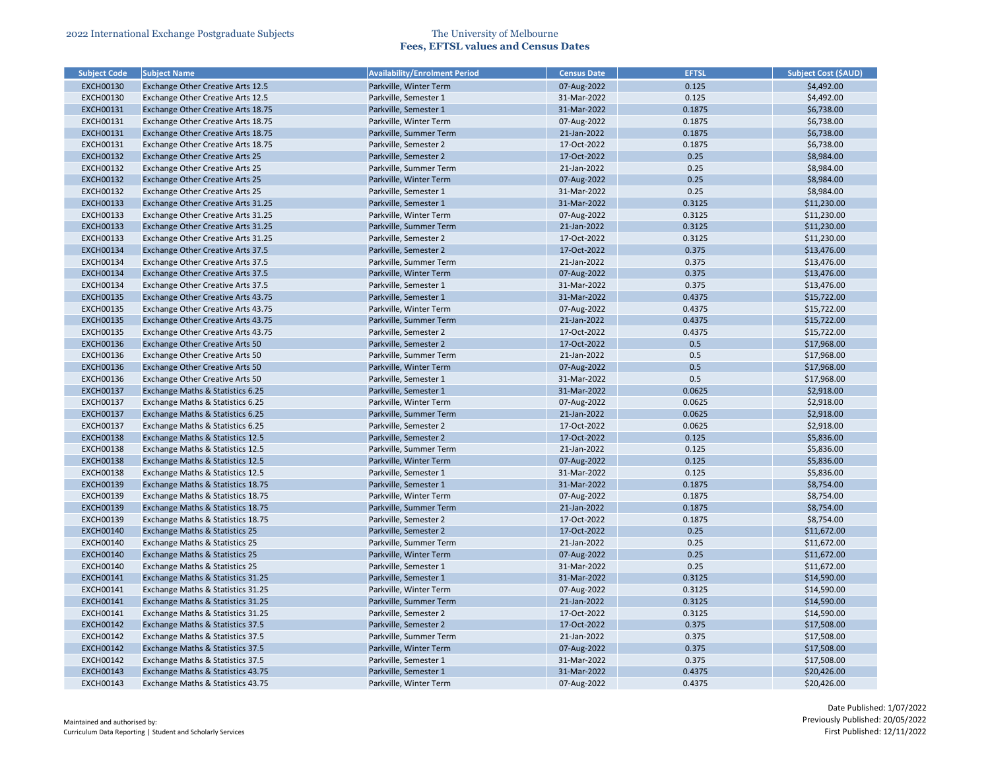| <b>Subject Code</b> | <b>Subject Name</b>                       | <b>Availability/Enrolment Period</b> | <b>Census Date</b> | <b>EFTSL</b> | <b>Subject Cost (\$AUD)</b> |
|---------------------|-------------------------------------------|--------------------------------------|--------------------|--------------|-----------------------------|
| <b>EXCH00130</b>    | Exchange Other Creative Arts 12.5         | Parkville, Winter Term               | 07-Aug-2022        | 0.125        | \$4,492.00                  |
| <b>EXCH00130</b>    | Exchange Other Creative Arts 12.5         | Parkville, Semester 1                | 31-Mar-2022        | 0.125        | \$4,492.00                  |
| <b>EXCH00131</b>    | Exchange Other Creative Arts 18.75        | Parkville, Semester 1                | 31-Mar-2022        | 0.1875       | \$6,738.00                  |
| <b>EXCH00131</b>    | Exchange Other Creative Arts 18.75        | Parkville, Winter Term               | 07-Aug-2022        | 0.1875       | \$6,738.00                  |
| <b>EXCH00131</b>    | Exchange Other Creative Arts 18.75        | Parkville, Summer Term               | 21-Jan-2022        | 0.1875       | \$6,738.00                  |
| <b>EXCH00131</b>    | Exchange Other Creative Arts 18.75        | Parkville, Semester 2                | 17-Oct-2022        | 0.1875       | \$6,738.00                  |
| <b>EXCH00132</b>    | Exchange Other Creative Arts 25           | Parkville, Semester 2                | 17-Oct-2022        | 0.25         | \$8,984.00                  |
| <b>EXCH00132</b>    | Exchange Other Creative Arts 25           | Parkville, Summer Term               | 21-Jan-2022        | 0.25         | \$8,984.00                  |
| <b>EXCH00132</b>    | Exchange Other Creative Arts 25           | Parkville, Winter Term               | 07-Aug-2022        | 0.25         | \$8,984.00                  |
| <b>EXCH00132</b>    | Exchange Other Creative Arts 25           | Parkville, Semester 1                | 31-Mar-2022        | 0.25         | \$8,984.00                  |
| <b>EXCH00133</b>    | Exchange Other Creative Arts 31.25        | Parkville, Semester 1                | 31-Mar-2022        | 0.3125       | \$11,230.00                 |
| <b>EXCH00133</b>    | Exchange Other Creative Arts 31.25        | Parkville, Winter Term               | 07-Aug-2022        | 0.3125       | \$11,230.00                 |
| <b>EXCH00133</b>    | Exchange Other Creative Arts 31.25        | Parkville, Summer Term               | 21-Jan-2022        | 0.3125       | \$11,230.00                 |
| <b>EXCH00133</b>    | Exchange Other Creative Arts 31.25        | Parkville, Semester 2                | 17-Oct-2022        | 0.3125       | \$11,230.00                 |
| <b>EXCH00134</b>    | Exchange Other Creative Arts 37.5         | Parkville, Semester 2                | 17-Oct-2022        | 0.375        | \$13,476.00                 |
| <b>EXCH00134</b>    | Exchange Other Creative Arts 37.5         | Parkville, Summer Term               | 21-Jan-2022        | 0.375        | \$13,476.00                 |
| <b>EXCH00134</b>    | Exchange Other Creative Arts 37.5         | Parkville, Winter Term               | 07-Aug-2022        | 0.375        | \$13,476.00                 |
| <b>EXCH00134</b>    | Exchange Other Creative Arts 37.5         | Parkville, Semester 1                | 31-Mar-2022        | 0.375        | \$13,476.00                 |
| <b>EXCH00135</b>    | Exchange Other Creative Arts 43.75        | Parkville, Semester 1                | 31-Mar-2022        | 0.4375       | \$15,722.00                 |
| <b>EXCH00135</b>    | Exchange Other Creative Arts 43.75        | Parkville, Winter Term               | 07-Aug-2022        | 0.4375       | \$15,722.00                 |
| <b>EXCH00135</b>    | Exchange Other Creative Arts 43.75        | Parkville, Summer Term               | 21-Jan-2022        | 0.4375       | \$15,722.00                 |
| <b>EXCH00135</b>    | Exchange Other Creative Arts 43.75        | Parkville, Semester 2                | 17-Oct-2022        | 0.4375       | \$15,722.00                 |
| <b>EXCH00136</b>    | Exchange Other Creative Arts 50           | Parkville, Semester 2                | 17-Oct-2022        | 0.5          | \$17,968.00                 |
| <b>EXCH00136</b>    | Exchange Other Creative Arts 50           | Parkville, Summer Term               | 21-Jan-2022        | 0.5          | \$17,968.00                 |
| <b>EXCH00136</b>    | Exchange Other Creative Arts 50           | Parkville, Winter Term               | 07-Aug-2022        | 0.5          | \$17,968.00                 |
| <b>EXCH00136</b>    | Exchange Other Creative Arts 50           | Parkville, Semester 1                | 31-Mar-2022        | 0.5          | \$17,968.00                 |
| <b>EXCH00137</b>    | Exchange Maths & Statistics 6.25          | Parkville, Semester 1                | 31-Mar-2022        | 0.0625       | \$2,918.00                  |
| <b>EXCH00137</b>    | Exchange Maths & Statistics 6.25          | Parkville, Winter Term               | 07-Aug-2022        | 0.0625       | \$2,918.00                  |
| <b>EXCH00137</b>    | Exchange Maths & Statistics 6.25          | Parkville, Summer Term               | 21-Jan-2022        | 0.0625       | \$2,918.00                  |
| <b>EXCH00137</b>    | Exchange Maths & Statistics 6.25          | Parkville, Semester 2                | 17-Oct-2022        | 0.0625       | \$2,918.00                  |
| EXCH00138           | Exchange Maths & Statistics 12.5          | Parkville, Semester 2                | 17-Oct-2022        | 0.125        | \$5,836.00                  |
| <b>EXCH00138</b>    | Exchange Maths & Statistics 12.5          | Parkville, Summer Term               | 21-Jan-2022        | 0.125        | \$5,836.00                  |
| <b>EXCH00138</b>    | Exchange Maths & Statistics 12.5          | Parkville, Winter Term               | 07-Aug-2022        | 0.125        | \$5,836.00                  |
| <b>EXCH00138</b>    | Exchange Maths & Statistics 12.5          | Parkville, Semester 1                | 31-Mar-2022        | 0.125        | \$5,836.00                  |
| <b>EXCH00139</b>    | Exchange Maths & Statistics 18.75         | Parkville, Semester 1                | 31-Mar-2022        | 0.1875       | \$8,754.00                  |
| <b>EXCH00139</b>    | Exchange Maths & Statistics 18.75         | Parkville, Winter Term               | 07-Aug-2022        | 0.1875       | \$8,754.00                  |
| <b>EXCH00139</b>    | Exchange Maths & Statistics 18.75         | Parkville, Summer Term               | 21-Jan-2022        | 0.1875       | \$8,754.00                  |
| <b>EXCH00139</b>    | Exchange Maths & Statistics 18.75         | Parkville, Semester 2                | 17-Oct-2022        | 0.1875       | \$8,754.00                  |
| <b>EXCH00140</b>    | <b>Exchange Maths &amp; Statistics 25</b> | Parkville, Semester 2                | 17-Oct-2022        | 0.25         | \$11,672.00                 |
| <b>EXCH00140</b>    | Exchange Maths & Statistics 25            | Parkville, Summer Term               | 21-Jan-2022        | 0.25         | \$11,672.00                 |
| <b>EXCH00140</b>    | Exchange Maths & Statistics 25            | Parkville, Winter Term               | 07-Aug-2022        | 0.25         | \$11,672.00                 |
| <b>EXCH00140</b>    | Exchange Maths & Statistics 25            | Parkville, Semester 1                | 31-Mar-2022        | 0.25         | \$11,672.00                 |
| <b>EXCH00141</b>    | Exchange Maths & Statistics 31.25         | Parkville, Semester 1                | 31-Mar-2022        | 0.3125       | \$14,590.00                 |
| <b>EXCH00141</b>    | Exchange Maths & Statistics 31.25         | Parkville, Winter Term               | 07-Aug-2022        | 0.3125       | \$14,590.00                 |
| <b>EXCH00141</b>    | Exchange Maths & Statistics 31.25         | Parkville, Summer Term               | 21-Jan-2022        | 0.3125       | \$14,590.00                 |
| <b>EXCH00141</b>    | Exchange Maths & Statistics 31.25         | Parkville, Semester 2                | 17-Oct-2022        | 0.3125       | \$14,590.00                 |
| <b>EXCH00142</b>    | Exchange Maths & Statistics 37.5          | Parkville, Semester 2                | 17-Oct-2022        | 0.375        | \$17,508.00                 |
| <b>EXCH00142</b>    | Exchange Maths & Statistics 37.5          | Parkville, Summer Term               | 21-Jan-2022        | 0.375        | \$17,508.00                 |
| <b>EXCH00142</b>    | Exchange Maths & Statistics 37.5          | Parkville, Winter Term               | 07-Aug-2022        | 0.375        | \$17,508.00                 |
| <b>EXCH00142</b>    | Exchange Maths & Statistics 37.5          | Parkville, Semester 1                | 31-Mar-2022        | 0.375        | \$17,508.00                 |
| <b>EXCH00143</b>    | Exchange Maths & Statistics 43.75         | Parkville, Semester 1                | 31-Mar-2022        | 0.4375       | \$20,426.00                 |
|                     |                                           |                                      |                    |              |                             |
| <b>EXCH00143</b>    | Exchange Maths & Statistics 43.75         | Parkville, Winter Term               | 07-Aug-2022        | 0.4375       | \$20,426.00                 |

| <b>Subject Cost (\$AUD)</b> |
|-----------------------------|
| \$4,492.00                  |
| \$4,492.00                  |
| \$6,738.00                  |
| \$6,738.00                  |
| \$6,738.00                  |
| \$6,738.00                  |
| \$8,984.00                  |
| \$8,984.00                  |
| \$8,984.00                  |
| \$8,984.00                  |
| \$11,230.00                 |
| \$11,230.00                 |
| \$11,230.00                 |
| \$11,230.00                 |
|                             |
| \$13,476.00                 |
| \$13,476.00                 |
| \$13,476.00                 |
| \$13,476.00                 |
| \$15,722.00                 |
| \$15,722.00                 |
| \$15,722.00                 |
| \$15,722.00                 |
| \$17,968.00                 |
| \$17,968.00                 |
| \$17,968.00                 |
| \$17,968.00                 |
| \$2,918.00                  |
| \$2,918.00                  |
| \$2,918.00                  |
| \$2,918.00                  |
| \$5,836.00                  |
| \$5,836.00                  |
| \$5,836.00                  |
| \$5,836.00                  |
| \$8,754.00                  |
| \$8,754.00                  |
| \$8,754.00                  |
| \$8,754.00                  |
| \$11,672.00                 |
| \$11,672.00                 |
| \$11,672.00                 |
| \$11,672.00                 |
| \$14,590.00                 |
| \$14,590.00                 |
| \$14,590.00                 |
| \$14,590.00                 |
| \$17,508.00                 |
| \$17,508.00                 |
| \$17,508.00                 |
| \$17,508.00                 |
| \$20,426.00                 |
|                             |
| \$20,426.00                 |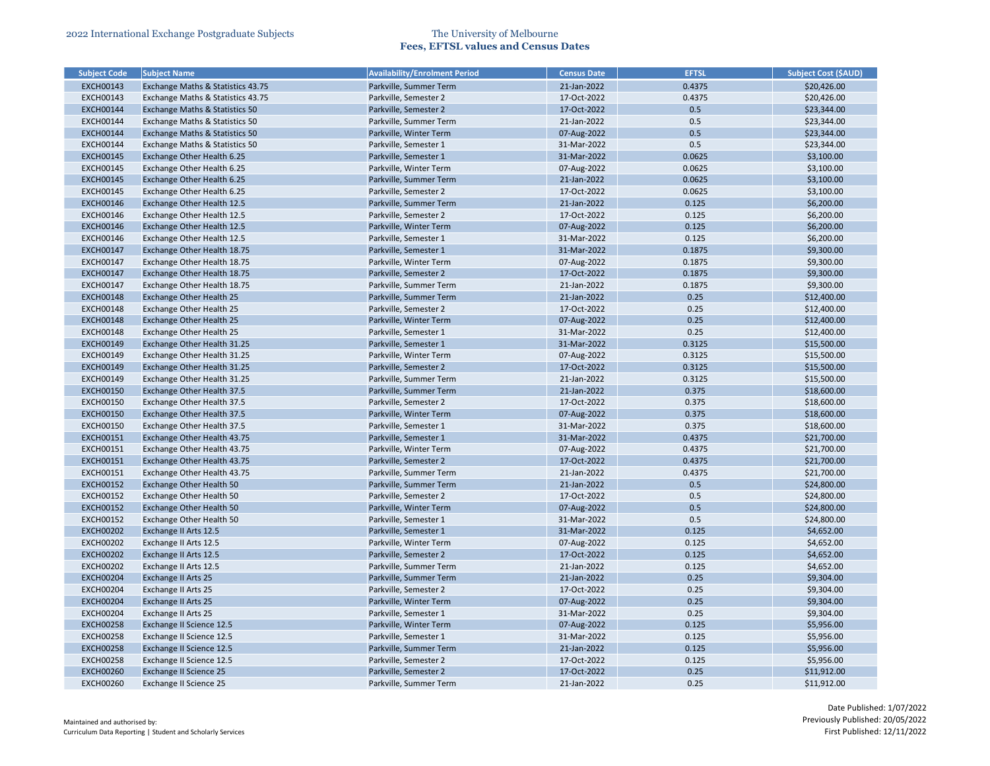| <b>Subject Code</b> | <b>Subject Name</b>                       | <b>Availability/Enrolment Period</b> | <b>Census Date</b> | <b>EFTSL</b> | <b>Subject Cost (\$AUD)</b> |
|---------------------|-------------------------------------------|--------------------------------------|--------------------|--------------|-----------------------------|
| <b>EXCH00143</b>    | Exchange Maths & Statistics 43.75         | Parkville, Summer Term               | 21-Jan-2022        | 0.4375       | \$20,426.00                 |
| <b>EXCH00143</b>    | Exchange Maths & Statistics 43.75         | Parkville, Semester 2                | 17-Oct-2022        | 0.4375       | \$20,426.00                 |
| <b>EXCH00144</b>    | <b>Exchange Maths &amp; Statistics 50</b> | Parkville, Semester 2                | 17-Oct-2022        | 0.5          | \$23,344.00                 |
| <b>EXCH00144</b>    | Exchange Maths & Statistics 50            | Parkville, Summer Term               | 21-Jan-2022        | 0.5          | \$23,344.00                 |
| <b>EXCH00144</b>    | <b>Exchange Maths &amp; Statistics 50</b> | Parkville, Winter Term               | 07-Aug-2022        | 0.5          | \$23,344.00                 |
| <b>EXCH00144</b>    | Exchange Maths & Statistics 50            | Parkville, Semester 1                | 31-Mar-2022        | 0.5          | \$23,344.00                 |
| <b>EXCH00145</b>    | Exchange Other Health 6.25                | Parkville, Semester 1                | 31-Mar-2022        | 0.0625       | \$3,100.00                  |
| <b>EXCH00145</b>    | Exchange Other Health 6.25                | Parkville, Winter Term               | 07-Aug-2022        | 0.0625       | \$3,100.00                  |
| <b>EXCH00145</b>    | Exchange Other Health 6.25                | Parkville, Summer Term               | 21-Jan-2022        | 0.0625       | \$3,100.00                  |
| <b>EXCH00145</b>    | Exchange Other Health 6.25                | Parkville, Semester 2                | 17-Oct-2022        | 0.0625       | \$3,100.00                  |
| <b>EXCH00146</b>    | Exchange Other Health 12.5                | Parkville, Summer Term               | 21-Jan-2022        | 0.125        | \$6,200.00                  |
| <b>EXCH00146</b>    | Exchange Other Health 12.5                | Parkville, Semester 2                | 17-Oct-2022        | 0.125        | \$6,200.00                  |
| <b>EXCH00146</b>    | Exchange Other Health 12.5                | Parkville, Winter Term               | 07-Aug-2022        | 0.125        | \$6,200.00                  |
| <b>EXCH00146</b>    | Exchange Other Health 12.5                | Parkville, Semester 1                | 31-Mar-2022        | 0.125        | \$6,200.00                  |
| <b>EXCH00147</b>    | Exchange Other Health 18.75               | Parkville, Semester 1                | 31-Mar-2022        | 0.1875       | \$9,300.00                  |
| <b>EXCH00147</b>    | Exchange Other Health 18.75               | Parkville, Winter Term               | 07-Aug-2022        | 0.1875       | \$9,300.00                  |
| <b>EXCH00147</b>    | Exchange Other Health 18.75               | Parkville, Semester 2                | 17-Oct-2022        | 0.1875       | \$9,300.00                  |
| <b>EXCH00147</b>    | Exchange Other Health 18.75               | Parkville, Summer Term               | 21-Jan-2022        | 0.1875       | \$9,300.00                  |
| <b>EXCH00148</b>    | <b>Exchange Other Health 25</b>           | Parkville, Summer Term               | 21-Jan-2022        | 0.25         | \$12,400.00                 |
| <b>EXCH00148</b>    | Exchange Other Health 25                  | Parkville, Semester 2                | 17-Oct-2022        | 0.25         | \$12,400.00                 |
| <b>EXCH00148</b>    | <b>Exchange Other Health 25</b>           | Parkville, Winter Term               | 07-Aug-2022        | 0.25         | \$12,400.00                 |
| <b>EXCH00148</b>    | Exchange Other Health 25                  | Parkville, Semester 1                | 31-Mar-2022        | 0.25         | \$12,400.00                 |
| <b>EXCH00149</b>    | Exchange Other Health 31.25               | Parkville, Semester 1                | 31-Mar-2022        | 0.3125       | \$15,500.00                 |
| <b>EXCH00149</b>    | Exchange Other Health 31.25               | Parkville, Winter Term               | 07-Aug-2022        | 0.3125       | \$15,500.00                 |
| <b>EXCH00149</b>    | Exchange Other Health 31.25               | Parkville, Semester 2                | 17-Oct-2022        | 0.3125       | \$15,500.00                 |
| <b>EXCH00149</b>    | Exchange Other Health 31.25               | Parkville, Summer Term               | 21-Jan-2022        | 0.3125       | \$15,500.00                 |
| <b>EXCH00150</b>    | Exchange Other Health 37.5                | Parkville, Summer Term               | 21-Jan-2022        | 0.375        | \$18,600.00                 |
| <b>EXCH00150</b>    | Exchange Other Health 37.5                | Parkville, Semester 2                | 17-Oct-2022        | 0.375        | \$18,600.00                 |
| <b>EXCH00150</b>    | Exchange Other Health 37.5                | Parkville, Winter Term               | 07-Aug-2022        | 0.375        | \$18,600.00                 |
| <b>EXCH00150</b>    | Exchange Other Health 37.5                | Parkville, Semester 1                | 31-Mar-2022        | 0.375        | \$18,600.00                 |
| EXCH00151           | Exchange Other Health 43.75               | Parkville, Semester 1                | 31-Mar-2022        | 0.4375       | \$21,700.00                 |
| <b>EXCH00151</b>    | Exchange Other Health 43.75               | Parkville, Winter Term               | 07-Aug-2022        | 0.4375       | \$21,700.00                 |
| <b>EXCH00151</b>    | Exchange Other Health 43.75               | Parkville, Semester 2                | 17-Oct-2022        | 0.4375       | \$21,700.00                 |
| <b>EXCH00151</b>    | Exchange Other Health 43.75               | Parkville, Summer Term               | 21-Jan-2022        | 0.4375       | \$21,700.00                 |
| <b>EXCH00152</b>    | <b>Exchange Other Health 50</b>           | Parkville, Summer Term               | 21-Jan-2022        | 0.5          | \$24,800.00                 |
| <b>EXCH00152</b>    | Exchange Other Health 50                  | Parkville, Semester 2                | 17-Oct-2022        | 0.5          | \$24,800.00                 |
| <b>EXCH00152</b>    | <b>Exchange Other Health 50</b>           | Parkville, Winter Term               | 07-Aug-2022        | 0.5          | \$24,800.00                 |
| <b>EXCH00152</b>    | Exchange Other Health 50                  | Parkville, Semester 1                | 31-Mar-2022        | 0.5          | \$24,800.00                 |
| <b>EXCH00202</b>    | Exchange II Arts 12.5                     | Parkville, Semester 1                | 31-Mar-2022        | 0.125        | \$4,652.00                  |
| <b>EXCH00202</b>    | Exchange II Arts 12.5                     | Parkville, Winter Term               | 07-Aug-2022        | 0.125        | \$4,652.00                  |
| <b>EXCH00202</b>    | Exchange II Arts 12.5                     | Parkville, Semester 2                | 17-Oct-2022        | 0.125        | \$4,652.00                  |
| <b>EXCH00202</b>    | Exchange II Arts 12.5                     | Parkville, Summer Term               | 21-Jan-2022        | 0.125        | \$4,652.00                  |
| <b>EXCH00204</b>    | <b>Exchange II Arts 25</b>                | Parkville, Summer Term               | 21-Jan-2022        | 0.25         | \$9,304.00                  |
| <b>EXCH00204</b>    | Exchange II Arts 25                       | Parkville, Semester 2                | 17-Oct-2022        | 0.25         | \$9,304.00                  |
| <b>EXCH00204</b>    | <b>Exchange II Arts 25</b>                | Parkville, Winter Term               | 07-Aug-2022        | 0.25         | \$9,304.00                  |
| <b>EXCH00204</b>    | Exchange II Arts 25                       | Parkville, Semester 1                | 31-Mar-2022        | 0.25         | \$9,304.00                  |
| <b>EXCH00258</b>    | <b>Exchange II Science 12.5</b>           | Parkville, Winter Term               | 07-Aug-2022        | 0.125        | \$5,956.00                  |
| <b>EXCH00258</b>    | Exchange II Science 12.5                  | Parkville, Semester 1                | 31-Mar-2022        | 0.125        | \$5,956.00                  |
| <b>EXCH00258</b>    | <b>Exchange II Science 12.5</b>           | Parkville, Summer Term               | 21-Jan-2022        | 0.125        | \$5,956.00                  |
| <b>EXCH00258</b>    | Exchange II Science 12.5                  | Parkville, Semester 2                | 17-Oct-2022        | 0.125        | \$5,956.00                  |
| <b>EXCH00260</b>    | <b>Exchange II Science 25</b>             | Parkville, Semester 2                | 17-Oct-2022        | 0.25         | \$11,912.00                 |
|                     |                                           |                                      | 21-Jan-2022        | 0.25         | \$11,912.00                 |
| <b>EXCH00260</b>    | Exchange II Science 25                    | Parkville, Summer Term               |                    |              |                             |

| <b>Subject Cost (\$AUD)</b> |
|-----------------------------|
| \$20,426.00                 |
| \$20,426.00                 |
| \$23,344.00                 |
| \$23,344.00                 |
| \$23,344.00                 |
| \$23,344.00                 |
| \$3,100.00                  |
| \$3,100.00                  |
| \$3,100.00                  |
| \$3,100.00                  |
| \$6,200.00                  |
| \$6,200.00                  |
| \$6,200.00                  |
| \$6,200.00                  |
| \$9,300.00                  |
| \$9,300.00                  |
| \$9,300.00                  |
| \$9,300.00                  |
| \$12,400.00                 |
| \$12,400.00                 |
| \$12,400.00                 |
| \$12,400.00                 |
| \$15,500.00                 |
| \$15,500.00                 |
| \$15,500.00                 |
| \$15,500.00                 |
| \$18,600.00                 |
| \$18,600.00                 |
| \$18,600.00                 |
| \$18,600.00                 |
| \$21,700.00                 |
| \$21,700.00                 |
| \$21,700.00                 |
|                             |
| \$21,700.00                 |
| \$24,800.00<br>\$24,800.00  |
| \$24,800.00                 |
|                             |
| \$24,800.00                 |
| \$4,652.00                  |
| \$4,652.00                  |
| \$4,652.00                  |
| \$4,652.00                  |
| \$9,304.00                  |
| \$9,304.00                  |
| \$9,304.00                  |
| \$9,304.00                  |
| \$5,956.00                  |
| \$5,956.00                  |
| \$5,956.00                  |
| \$5,956.00                  |
| \$11,912.00                 |
| \$11,912.00                 |
|                             |